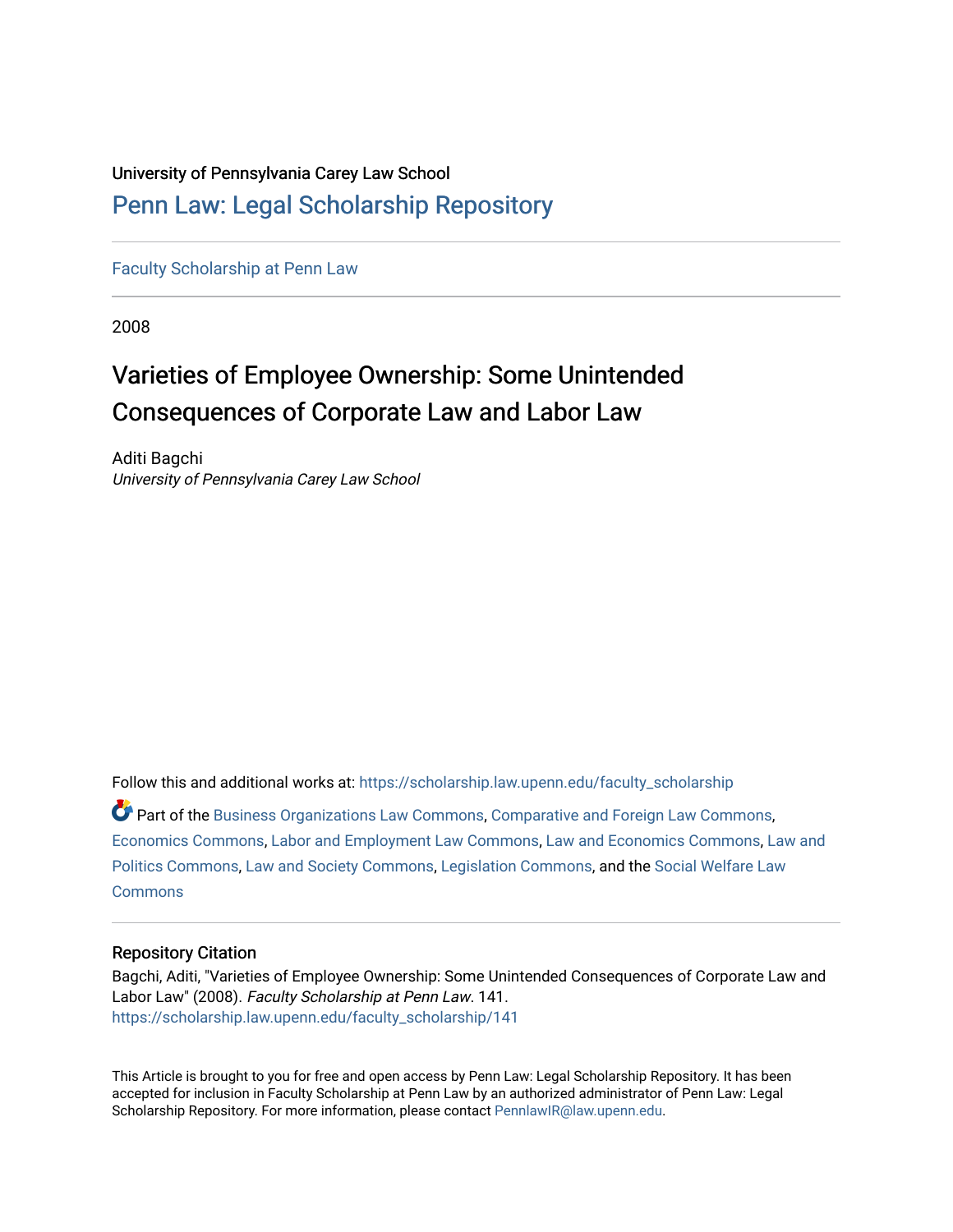# University of Pennsylvania Carey Law School

# [Penn Law: Legal Scholarship Repository](https://scholarship.law.upenn.edu/)

[Faculty Scholarship at Penn Law](https://scholarship.law.upenn.edu/faculty_scholarship)

2008

# Varieties of Employee Ownership: Some Unintended Consequences of Corporate Law and Labor Law

Aditi Bagchi University of Pennsylvania Carey Law School

Follow this and additional works at: [https://scholarship.law.upenn.edu/faculty\\_scholarship](https://scholarship.law.upenn.edu/faculty_scholarship?utm_source=scholarship.law.upenn.edu%2Ffaculty_scholarship%2F141&utm_medium=PDF&utm_campaign=PDFCoverPages) 

Part of the [Business Organizations Law Commons](http://network.bepress.com/hgg/discipline/900?utm_source=scholarship.law.upenn.edu%2Ffaculty_scholarship%2F141&utm_medium=PDF&utm_campaign=PDFCoverPages), [Comparative and Foreign Law Commons](http://network.bepress.com/hgg/discipline/836?utm_source=scholarship.law.upenn.edu%2Ffaculty_scholarship%2F141&utm_medium=PDF&utm_campaign=PDFCoverPages), [Economics Commons,](http://network.bepress.com/hgg/discipline/340?utm_source=scholarship.law.upenn.edu%2Ffaculty_scholarship%2F141&utm_medium=PDF&utm_campaign=PDFCoverPages) [Labor and Employment Law Commons,](http://network.bepress.com/hgg/discipline/909?utm_source=scholarship.law.upenn.edu%2Ffaculty_scholarship%2F141&utm_medium=PDF&utm_campaign=PDFCoverPages) [Law and Economics Commons,](http://network.bepress.com/hgg/discipline/612?utm_source=scholarship.law.upenn.edu%2Ffaculty_scholarship%2F141&utm_medium=PDF&utm_campaign=PDFCoverPages) [Law and](http://network.bepress.com/hgg/discipline/867?utm_source=scholarship.law.upenn.edu%2Ffaculty_scholarship%2F141&utm_medium=PDF&utm_campaign=PDFCoverPages)  [Politics Commons](http://network.bepress.com/hgg/discipline/867?utm_source=scholarship.law.upenn.edu%2Ffaculty_scholarship%2F141&utm_medium=PDF&utm_campaign=PDFCoverPages), [Law and Society Commons,](http://network.bepress.com/hgg/discipline/853?utm_source=scholarship.law.upenn.edu%2Ffaculty_scholarship%2F141&utm_medium=PDF&utm_campaign=PDFCoverPages) [Legislation Commons,](http://network.bepress.com/hgg/discipline/859?utm_source=scholarship.law.upenn.edu%2Ffaculty_scholarship%2F141&utm_medium=PDF&utm_campaign=PDFCoverPages) and the [Social Welfare Law](http://network.bepress.com/hgg/discipline/878?utm_source=scholarship.law.upenn.edu%2Ffaculty_scholarship%2F141&utm_medium=PDF&utm_campaign=PDFCoverPages) **[Commons](http://network.bepress.com/hgg/discipline/878?utm_source=scholarship.law.upenn.edu%2Ffaculty_scholarship%2F141&utm_medium=PDF&utm_campaign=PDFCoverPages)** 

# Repository Citation

Bagchi, Aditi, "Varieties of Employee Ownership: Some Unintended Consequences of Corporate Law and Labor Law" (2008). Faculty Scholarship at Penn Law. 141. [https://scholarship.law.upenn.edu/faculty\\_scholarship/141](https://scholarship.law.upenn.edu/faculty_scholarship/141?utm_source=scholarship.law.upenn.edu%2Ffaculty_scholarship%2F141&utm_medium=PDF&utm_campaign=PDFCoverPages) 

This Article is brought to you for free and open access by Penn Law: Legal Scholarship Repository. It has been accepted for inclusion in Faculty Scholarship at Penn Law by an authorized administrator of Penn Law: Legal Scholarship Repository. For more information, please contact [PennlawIR@law.upenn.edu.](mailto:PennlawIR@law.upenn.edu)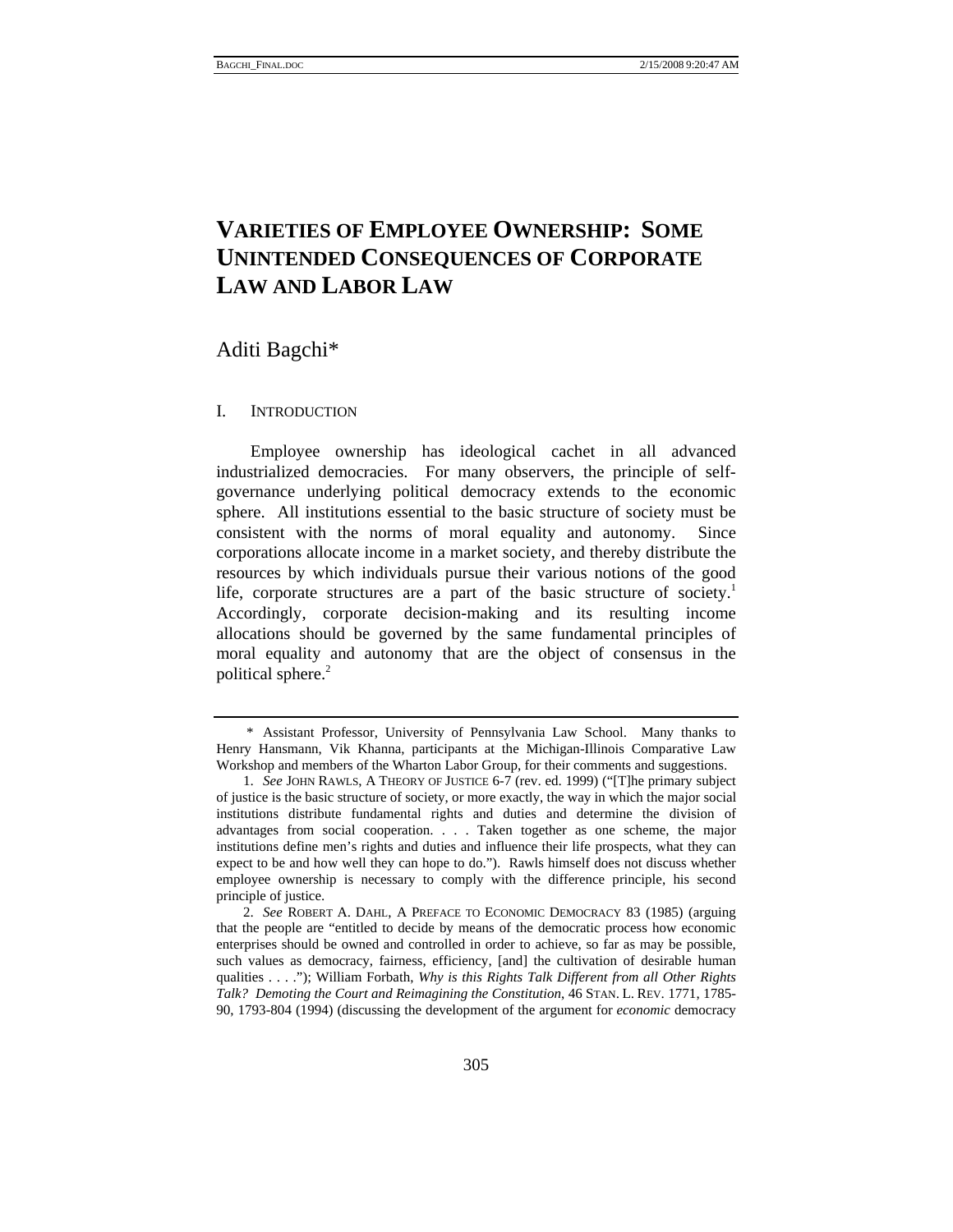# **VARIETIES OF EMPLOYEE OWNERSHIP: SOME UNINTENDED CONSEQUENCES OF CORPORATE LAW AND LABOR LAW**

Aditi Bagchi\*

# I. INTRODUCTION

Employee ownership has ideological cachet in all advanced industrialized democracies. For many observers, the principle of selfgovernance underlying political democracy extends to the economic sphere. All institutions essential to the basic structure of society must be consistent with the norms of moral equality and autonomy. Since corporations allocate income in a market society, and thereby distribute the resources by which individuals pursue their various notions of the good life, corporate structures are a part of the basic structure of society.<sup>1</sup> Accordingly, corporate decision-making and its resulting income allocations should be governed by the same fundamental principles of moral equality and autonomy that are the object of consensus in the political sphere.<sup>2</sup>

 <sup>\*</sup> Assistant Professor, University of Pennsylvania Law School. Many thanks to Henry Hansmann, Vik Khanna, participants at the Michigan-Illinois Comparative Law Workshop and members of the Wharton Labor Group, for their comments and suggestions.

 <sup>1.</sup> *See* JOHN RAWLS, A THEORY OF JUSTICE 6-7 (rev. ed. 1999) ("[T]he primary subject of justice is the basic structure of society, or more exactly, the way in which the major social institutions distribute fundamental rights and duties and determine the division of advantages from social cooperation. . . . Taken together as one scheme, the major institutions define men's rights and duties and influence their life prospects, what they can expect to be and how well they can hope to do."). Rawls himself does not discuss whether employee ownership is necessary to comply with the difference principle, his second principle of justice.

 <sup>2.</sup> *See* ROBERT A. DAHL, A PREFACE TO ECONOMIC DEMOCRACY 83 (1985) (arguing that the people are "entitled to decide by means of the democratic process how economic enterprises should be owned and controlled in order to achieve, so far as may be possible, such values as democracy, fairness, efficiency, [and] the cultivation of desirable human qualities . . . ."); William Forbath, *Why is this Rights Talk Different from all Other Rights Talk? Demoting the Court and Reimagining the Constitution*, 46 STAN. L. REV. 1771, 1785- 90, 1793-804 (1994) (discussing the development of the argument for *economic* democracy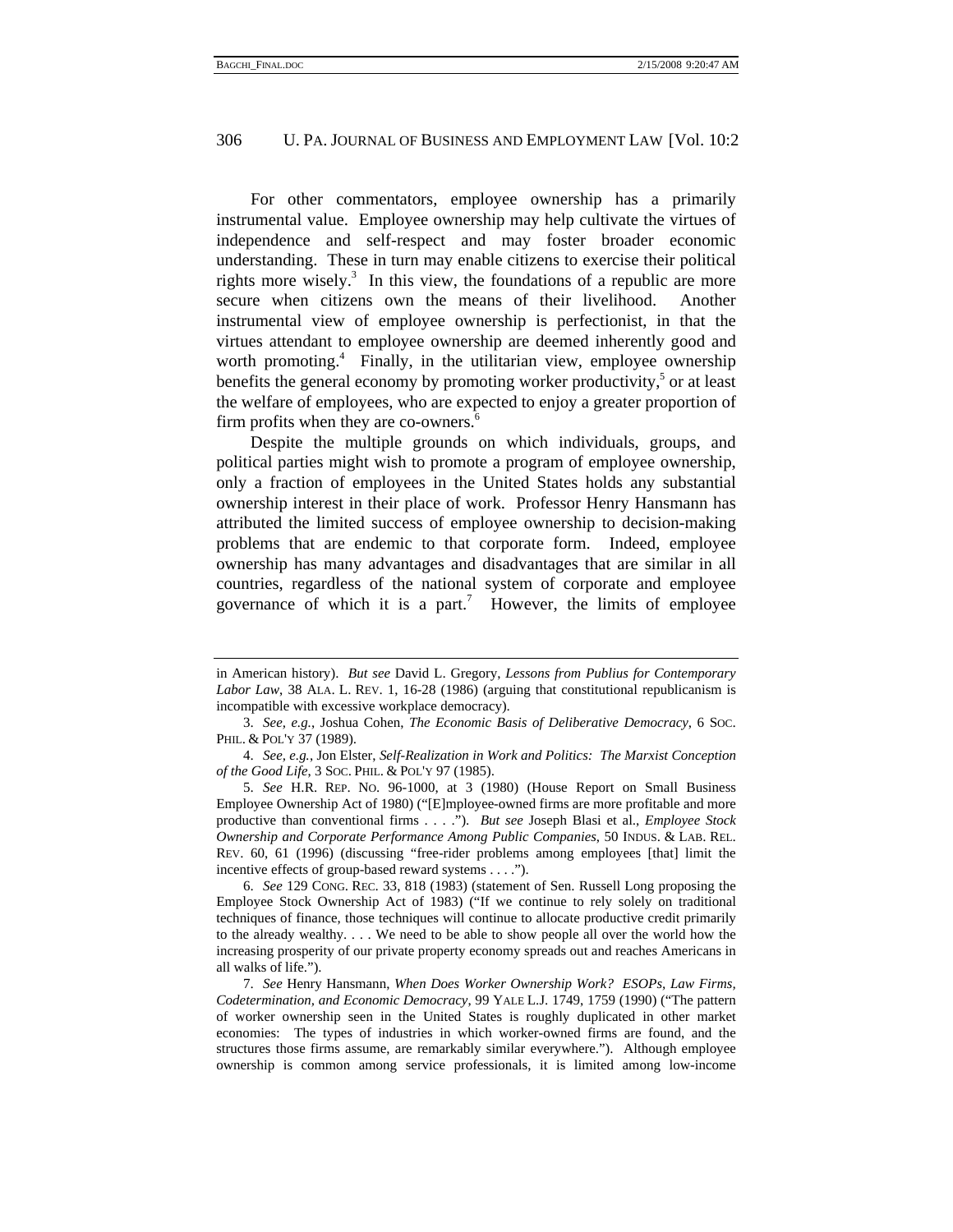For other commentators, employee ownership has a primarily instrumental value. Employee ownership may help cultivate the virtues of independence and self-respect and may foster broader economic understanding. These in turn may enable citizens to exercise their political rights more wisely.<sup>3</sup> In this view, the foundations of a republic are more secure when citizens own the means of their livelihood. Another instrumental view of employee ownership is perfectionist, in that the virtues attendant to employee ownership are deemed inherently good and worth promoting.<sup>4</sup> Finally, in the utilitarian view, employee ownership benefits the general economy by promoting worker productivity, $5$  or at least the welfare of employees, who are expected to enjoy a greater proportion of firm profits when they are co-owners.<sup>6</sup>

Despite the multiple grounds on which individuals, groups, and political parties might wish to promote a program of employee ownership, only a fraction of employees in the United States holds any substantial ownership interest in their place of work. Professor Henry Hansmann has attributed the limited success of employee ownership to decision-making problems that are endemic to that corporate form. Indeed, employee ownership has many advantages and disadvantages that are similar in all countries, regardless of the national system of corporate and employee governance of which it is a part.<sup>7</sup> However, the limits of employee

in American history). *But see* David L. Gregory, *Lessons from Publius for Contemporary Labor Law*, 38 ALA. L. REV. 1, 16-28 (1986) (arguing that constitutional republicanism is incompatible with excessive workplace democracy).

 <sup>3.</sup> *See, e.g.*, Joshua Cohen, *The Economic Basis of Deliberative Democracy*, 6 SOC. PHIL. & POL'Y 37 (1989).

 <sup>4.</sup> *See, e.g.*, Jon Elster, *Self-Realization in Work and Politics: The Marxist Conception of the Good Life*, 3 SOC. PHIL. & POL'Y 97 (1985).

 <sup>5.</sup> *See* H.R. REP. NO. 96-1000, at 3 (1980) (House Report on Small Business Employee Ownership Act of 1980) ("[E]mployee-owned firms are more profitable and more productive than conventional firms . . . ."). *But see* Joseph Blasi et al., *Employee Stock Ownership and Corporate Performance Among Public Companies*, 50 INDUS. & LAB. REL. REV. 60, 61 (1996) (discussing "free-rider problems among employees [that] limit the incentive effects of group-based reward systems . . . .").

 <sup>6.</sup> *See* 129 CONG. REC. 33, 818 (1983) (statement of Sen. Russell Long proposing the Employee Stock Ownership Act of 1983) ("If we continue to rely solely on traditional techniques of finance, those techniques will continue to allocate productive credit primarily to the already wealthy. . . . We need to be able to show people all over the world how the increasing prosperity of our private property economy spreads out and reaches Americans in all walks of life.").

 <sup>7.</sup> *See* Henry Hansmann, *When Does Worker Ownership Work? ESOPs, Law Firms, Codetermination, and Economic Democracy*, 99 YALE L.J. 1749, 1759 (1990) ("The pattern of worker ownership seen in the United States is roughly duplicated in other market economies: The types of industries in which worker-owned firms are found, and the structures those firms assume, are remarkably similar everywhere."). Although employee ownership is common among service professionals, it is limited among low-income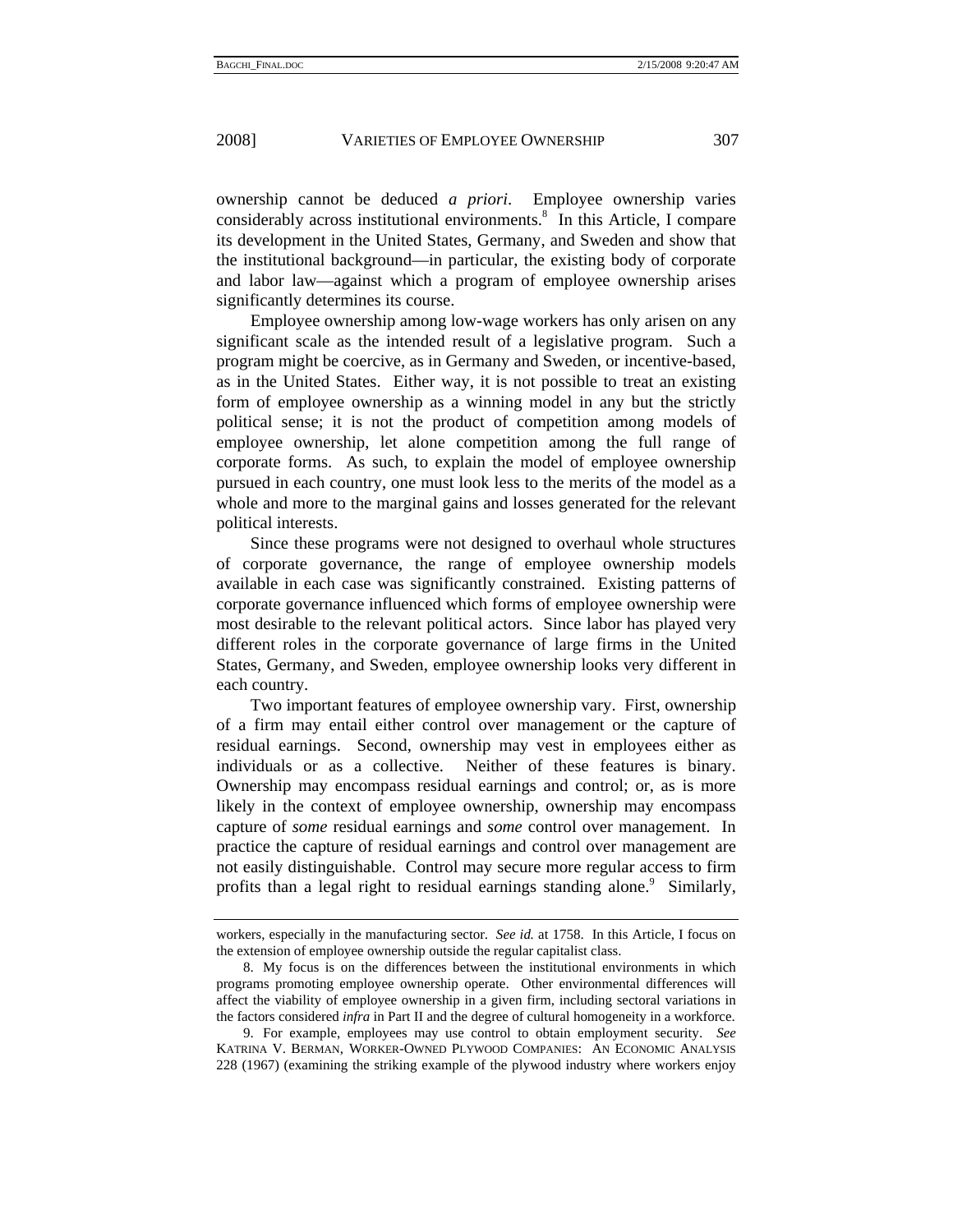ownership cannot be deduced *a priori*. Employee ownership varies considerably across institutional environments.<sup>8</sup> In this Article, I compare its development in the United States, Germany, and Sweden and show that the institutional background—in particular, the existing body of corporate and labor law—against which a program of employee ownership arises significantly determines its course.

Employee ownership among low-wage workers has only arisen on any significant scale as the intended result of a legislative program. Such a program might be coercive, as in Germany and Sweden, or incentive-based, as in the United States. Either way, it is not possible to treat an existing form of employee ownership as a winning model in any but the strictly political sense; it is not the product of competition among models of employee ownership, let alone competition among the full range of corporate forms. As such, to explain the model of employee ownership pursued in each country, one must look less to the merits of the model as a whole and more to the marginal gains and losses generated for the relevant political interests.

Since these programs were not designed to overhaul whole structures of corporate governance, the range of employee ownership models available in each case was significantly constrained. Existing patterns of corporate governance influenced which forms of employee ownership were most desirable to the relevant political actors. Since labor has played very different roles in the corporate governance of large firms in the United States, Germany, and Sweden, employee ownership looks very different in each country.

Two important features of employee ownership vary. First, ownership of a firm may entail either control over management or the capture of residual earnings. Second, ownership may vest in employees either as individuals or as a collective. Neither of these features is binary. Ownership may encompass residual earnings and control; or, as is more likely in the context of employee ownership, ownership may encompass capture of *some* residual earnings and *some* control over management. In practice the capture of residual earnings and control over management are not easily distinguishable. Control may secure more regular access to firm profits than a legal right to residual earnings standing alone.<sup>9</sup> Similarly,

workers, especially in the manufacturing sector. *See id.* at 1758. In this Article, I focus on the extension of employee ownership outside the regular capitalist class.

 <sup>8.</sup> My focus is on the differences between the institutional environments in which programs promoting employee ownership operate. Other environmental differences will affect the viability of employee ownership in a given firm, including sectoral variations in the factors considered *infra* in Part II and the degree of cultural homogeneity in a workforce.

 <sup>9.</sup> For example, employees may use control to obtain employment security. *See* KATRINA V. BERMAN, WORKER-OWNED PLYWOOD COMPANIES: AN ECONOMIC ANALYSIS 228 (1967) (examining the striking example of the plywood industry where workers enjoy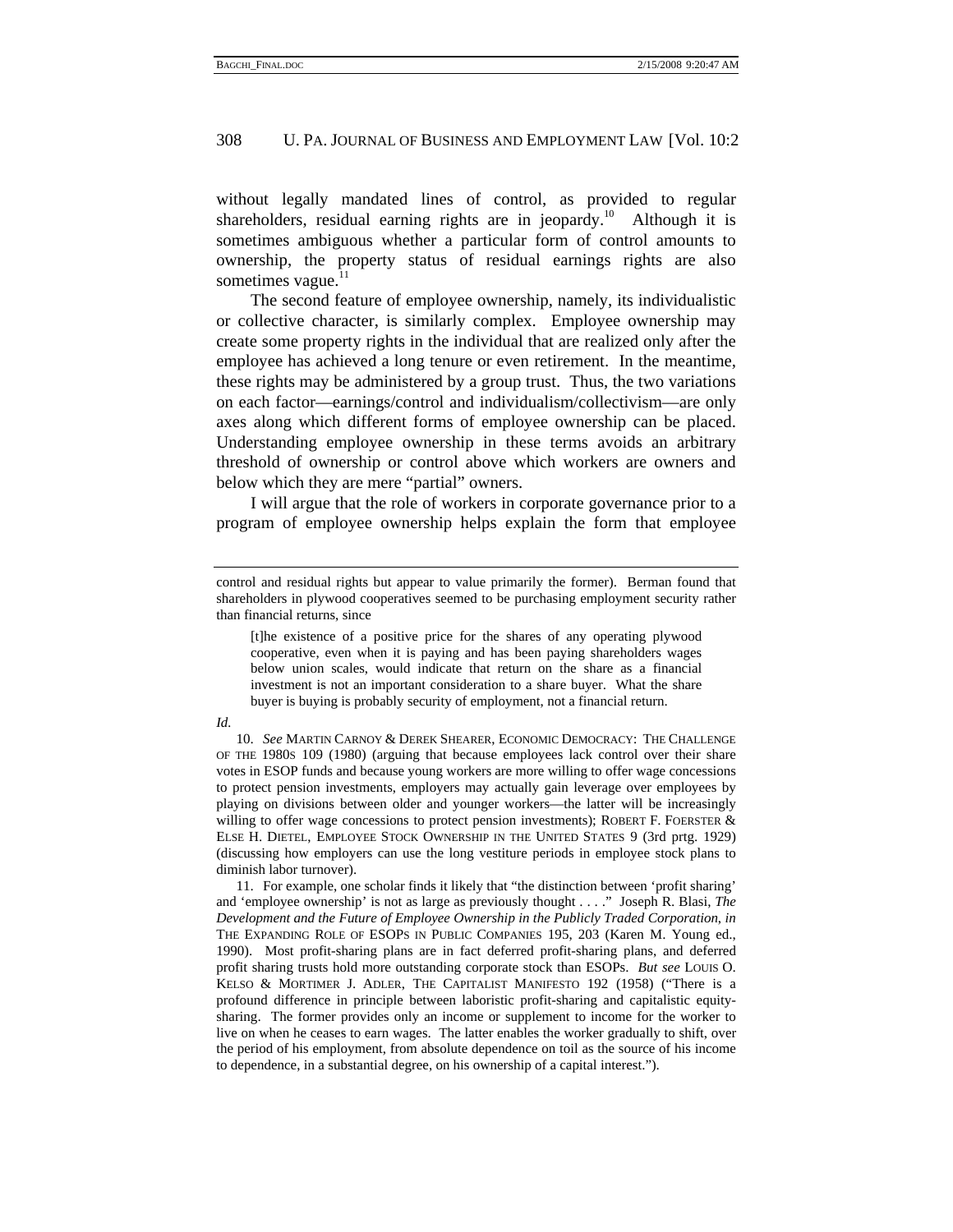without legally mandated lines of control, as provided to regular shareholders, residual earning rights are in jeopardy.<sup>10</sup> Although it is sometimes ambiguous whether a particular form of control amounts to ownership, the property status of residual earnings rights are also sometimes vague. $11$ 

The second feature of employee ownership, namely, its individualistic or collective character, is similarly complex. Employee ownership may create some property rights in the individual that are realized only after the employee has achieved a long tenure or even retirement. In the meantime, these rights may be administered by a group trust. Thus, the two variations on each factor—earnings/control and individualism/collectivism—are only axes along which different forms of employee ownership can be placed. Understanding employee ownership in these terms avoids an arbitrary threshold of ownership or control above which workers are owners and below which they are mere "partial" owners.

I will argue that the role of workers in corporate governance prior to a program of employee ownership helps explain the form that employee

[t]he existence of a positive price for the shares of any operating plywood cooperative, even when it is paying and has been paying shareholders wages below union scales, would indicate that return on the share as a financial investment is not an important consideration to a share buyer. What the share buyer is buying is probably security of employment, not a financial return.

#### *Id.*

 10. *See* MARTIN CARNOY & DEREK SHEARER, ECONOMIC DEMOCRACY: THE CHALLENGE OF THE 1980S 109 (1980) (arguing that because employees lack control over their share votes in ESOP funds and because young workers are more willing to offer wage concessions to protect pension investments, employers may actually gain leverage over employees by playing on divisions between older and younger workers—the latter will be increasingly willing to offer wage concessions to protect pension investments); ROBERT F. FOERSTER  $&$ ELSE H. DIETEL, EMPLOYEE STOCK OWNERSHIP IN THE UNITED STATES 9 (3rd prtg. 1929) (discussing how employers can use the long vestiture periods in employee stock plans to diminish labor turnover).

 11. For example, one scholar finds it likely that "the distinction between 'profit sharing' and 'employee ownership' is not as large as previously thought . . . ." Joseph R. Blasi, *The Development and the Future of Employee Ownership in the Publicly Traded Corporation*, *in* THE EXPANDING ROLE OF ESOPS IN PUBLIC COMPANIES 195, 203 (Karen M. Young ed., 1990). Most profit-sharing plans are in fact deferred profit-sharing plans, and deferred profit sharing trusts hold more outstanding corporate stock than ESOPs. *But see* LOUIS O. KELSO & MORTIMER J. ADLER, THE CAPITALIST MANIFESTO 192 (1958) ("There is a profound difference in principle between laboristic profit-sharing and capitalistic equitysharing. The former provides only an income or supplement to income for the worker to live on when he ceases to earn wages. The latter enables the worker gradually to shift, over the period of his employment, from absolute dependence on toil as the source of his income to dependence, in a substantial degree, on his ownership of a capital interest.").

control and residual rights but appear to value primarily the former). Berman found that shareholders in plywood cooperatives seemed to be purchasing employment security rather than financial returns, since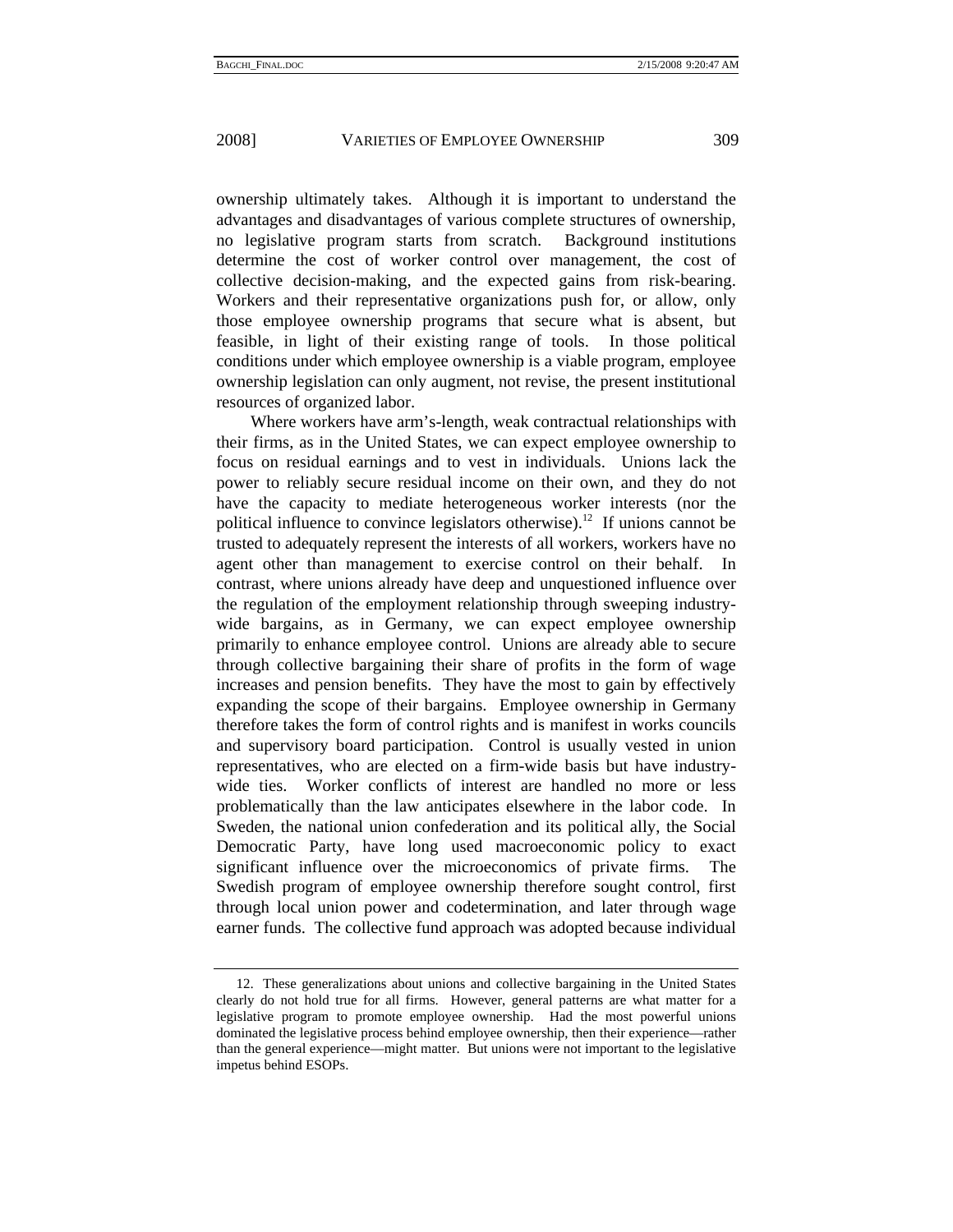ownership ultimately takes. Although it is important to understand the advantages and disadvantages of various complete structures of ownership, no legislative program starts from scratch. Background institutions determine the cost of worker control over management, the cost of collective decision-making, and the expected gains from risk-bearing. Workers and their representative organizations push for, or allow, only those employee ownership programs that secure what is absent, but feasible, in light of their existing range of tools. In those political conditions under which employee ownership is a viable program, employee ownership legislation can only augment, not revise, the present institutional resources of organized labor.

Where workers have arm's-length, weak contractual relationships with their firms, as in the United States, we can expect employee ownership to focus on residual earnings and to vest in individuals. Unions lack the power to reliably secure residual income on their own, and they do not have the capacity to mediate heterogeneous worker interests (nor the political influence to convince legislators otherwise).<sup>12</sup> If unions cannot be trusted to adequately represent the interests of all workers, workers have no agent other than management to exercise control on their behalf. In contrast, where unions already have deep and unquestioned influence over the regulation of the employment relationship through sweeping industrywide bargains, as in Germany, we can expect employee ownership primarily to enhance employee control. Unions are already able to secure through collective bargaining their share of profits in the form of wage increases and pension benefits. They have the most to gain by effectively expanding the scope of their bargains. Employee ownership in Germany therefore takes the form of control rights and is manifest in works councils and supervisory board participation. Control is usually vested in union representatives, who are elected on a firm-wide basis but have industrywide ties. Worker conflicts of interest are handled no more or less problematically than the law anticipates elsewhere in the labor code. In Sweden, the national union confederation and its political ally, the Social Democratic Party, have long used macroeconomic policy to exact significant influence over the microeconomics of private firms. The Swedish program of employee ownership therefore sought control, first through local union power and codetermination, and later through wage earner funds. The collective fund approach was adopted because individual

 <sup>12.</sup> These generalizations about unions and collective bargaining in the United States clearly do not hold true for all firms. However, general patterns are what matter for a legislative program to promote employee ownership. Had the most powerful unions dominated the legislative process behind employee ownership, then their experience—rather than the general experience—might matter. But unions were not important to the legislative impetus behind ESOPs.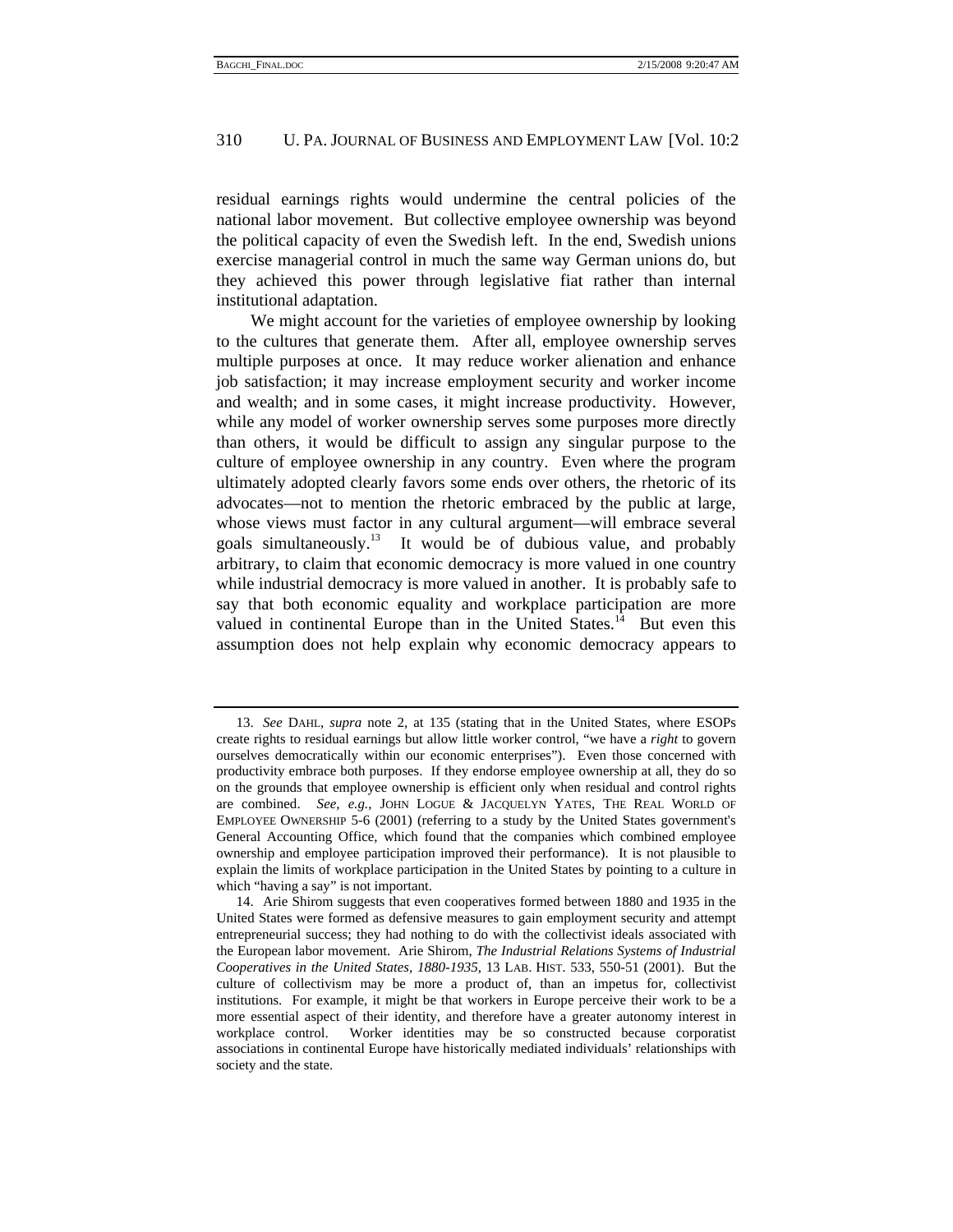residual earnings rights would undermine the central policies of the national labor movement. But collective employee ownership was beyond the political capacity of even the Swedish left. In the end, Swedish unions exercise managerial control in much the same way German unions do, but they achieved this power through legislative fiat rather than internal institutional adaptation.

We might account for the varieties of employee ownership by looking to the cultures that generate them. After all, employee ownership serves multiple purposes at once. It may reduce worker alienation and enhance job satisfaction; it may increase employment security and worker income and wealth; and in some cases, it might increase productivity. However, while any model of worker ownership serves some purposes more directly than others, it would be difficult to assign any singular purpose to the culture of employee ownership in any country. Even where the program ultimately adopted clearly favors some ends over others, the rhetoric of its advocates—not to mention the rhetoric embraced by the public at large, whose views must factor in any cultural argument—will embrace several goals simultaneously.13 It would be of dubious value, and probably arbitrary, to claim that economic democracy is more valued in one country while industrial democracy is more valued in another. It is probably safe to say that both economic equality and workplace participation are more valued in continental Europe than in the United States.<sup>14</sup> But even this assumption does not help explain why economic democracy appears to

 <sup>13.</sup> *See* DAHL, *supra* note 2, at 135 (stating that in the United States, where ESOPs create rights to residual earnings but allow little worker control, "we have a *right* to govern ourselves democratically within our economic enterprises"). Even those concerned with productivity embrace both purposes. If they endorse employee ownership at all, they do so on the grounds that employee ownership is efficient only when residual and control rights are combined. *See, e.g.*, JOHN LOGUE & JACQUELYN YATES, THE REAL WORLD OF EMPLOYEE OWNERSHIP 5-6 (2001) (referring to a study by the United States government's General Accounting Office, which found that the companies which combined employee ownership and employee participation improved their performance). It is not plausible to explain the limits of workplace participation in the United States by pointing to a culture in which "having a say" is not important.

 <sup>14.</sup> Arie Shirom suggests that even cooperatives formed between 1880 and 1935 in the United States were formed as defensive measures to gain employment security and attempt entrepreneurial success; they had nothing to do with the collectivist ideals associated with the European labor movement. Arie Shirom, *The Industrial Relations Systems of Industrial Cooperatives in the United States, 1880-1935*, 13 LAB. HIST. 533, 550-51 (2001). But the culture of collectivism may be more a product of, than an impetus for, collectivist institutions. For example, it might be that workers in Europe perceive their work to be a more essential aspect of their identity, and therefore have a greater autonomy interest in workplace control. Worker identities may be so constructed because corporatist associations in continental Europe have historically mediated individuals' relationships with society and the state.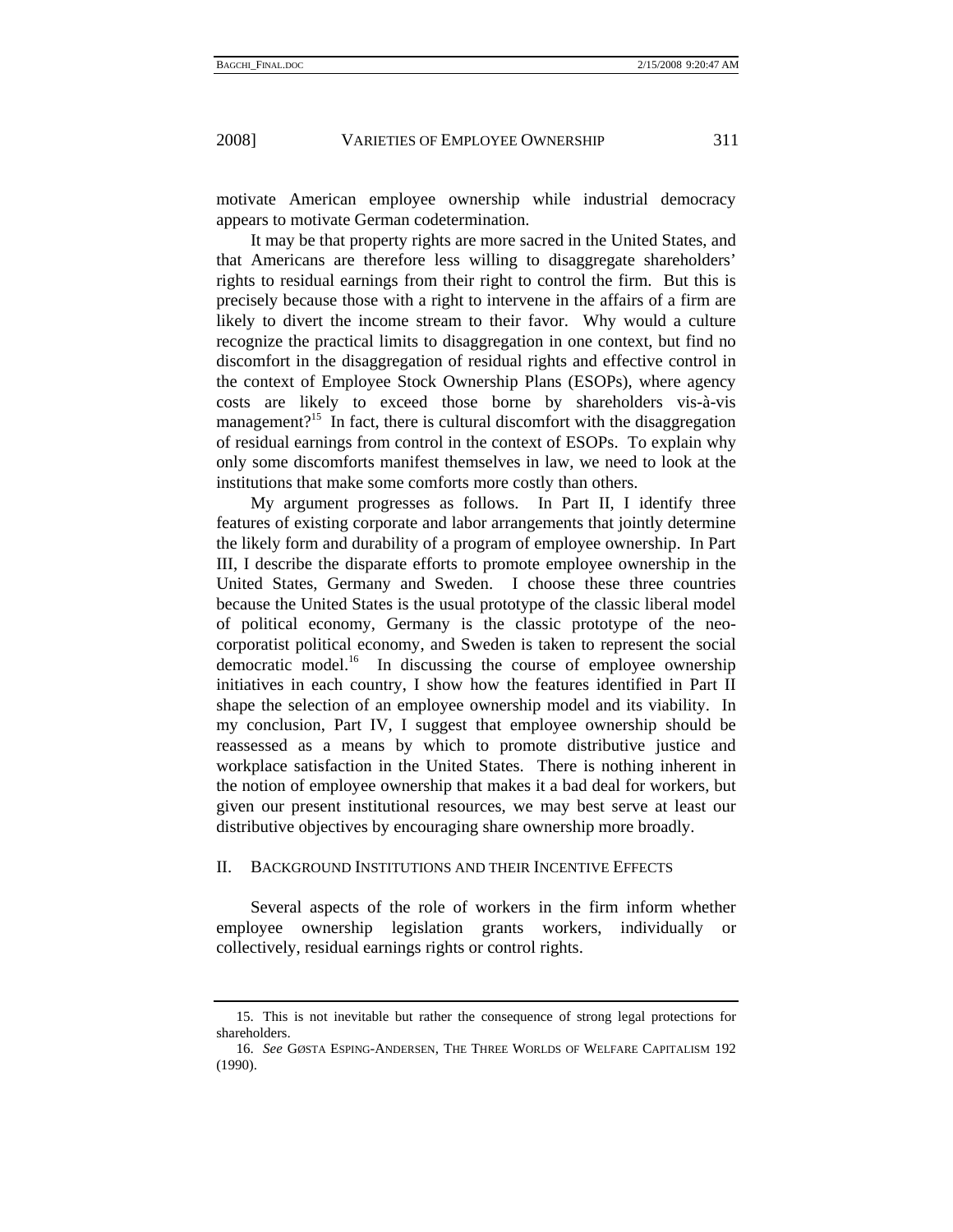motivate American employee ownership while industrial democracy appears to motivate German codetermination.

It may be that property rights are more sacred in the United States, and that Americans are therefore less willing to disaggregate shareholders' rights to residual earnings from their right to control the firm. But this is precisely because those with a right to intervene in the affairs of a firm are likely to divert the income stream to their favor. Why would a culture recognize the practical limits to disaggregation in one context, but find no discomfort in the disaggregation of residual rights and effective control in the context of Employee Stock Ownership Plans (ESOPs), where agency costs are likely to exceed those borne by shareholders vis-à-vis management?<sup>15</sup> In fact, there is cultural discomfort with the disaggregation of residual earnings from control in the context of ESOPs. To explain why only some discomforts manifest themselves in law, we need to look at the institutions that make some comforts more costly than others.

My argument progresses as follows. In Part II, I identify three features of existing corporate and labor arrangements that jointly determine the likely form and durability of a program of employee ownership. In Part III, I describe the disparate efforts to promote employee ownership in the United States, Germany and Sweden. I choose these three countries because the United States is the usual prototype of the classic liberal model of political economy, Germany is the classic prototype of the neocorporatist political economy, and Sweden is taken to represent the social democratic model.<sup>16</sup> In discussing the course of employee ownership initiatives in each country, I show how the features identified in Part II shape the selection of an employee ownership model and its viability. In my conclusion, Part IV, I suggest that employee ownership should be reassessed as a means by which to promote distributive justice and workplace satisfaction in the United States. There is nothing inherent in the notion of employee ownership that makes it a bad deal for workers, but given our present institutional resources, we may best serve at least our distributive objectives by encouraging share ownership more broadly.

#### II. BACKGROUND INSTITUTIONS AND THEIR INCENTIVE EFFECTS

Several aspects of the role of workers in the firm inform whether employee ownership legislation grants workers, individually or collectively, residual earnings rights or control rights.

 <sup>15.</sup> This is not inevitable but rather the consequence of strong legal protections for shareholders.

 <sup>16.</sup> *See* GØSTA ESPING-ANDERSEN, THE THREE WORLDS OF WELFARE CAPITALISM 192 (1990).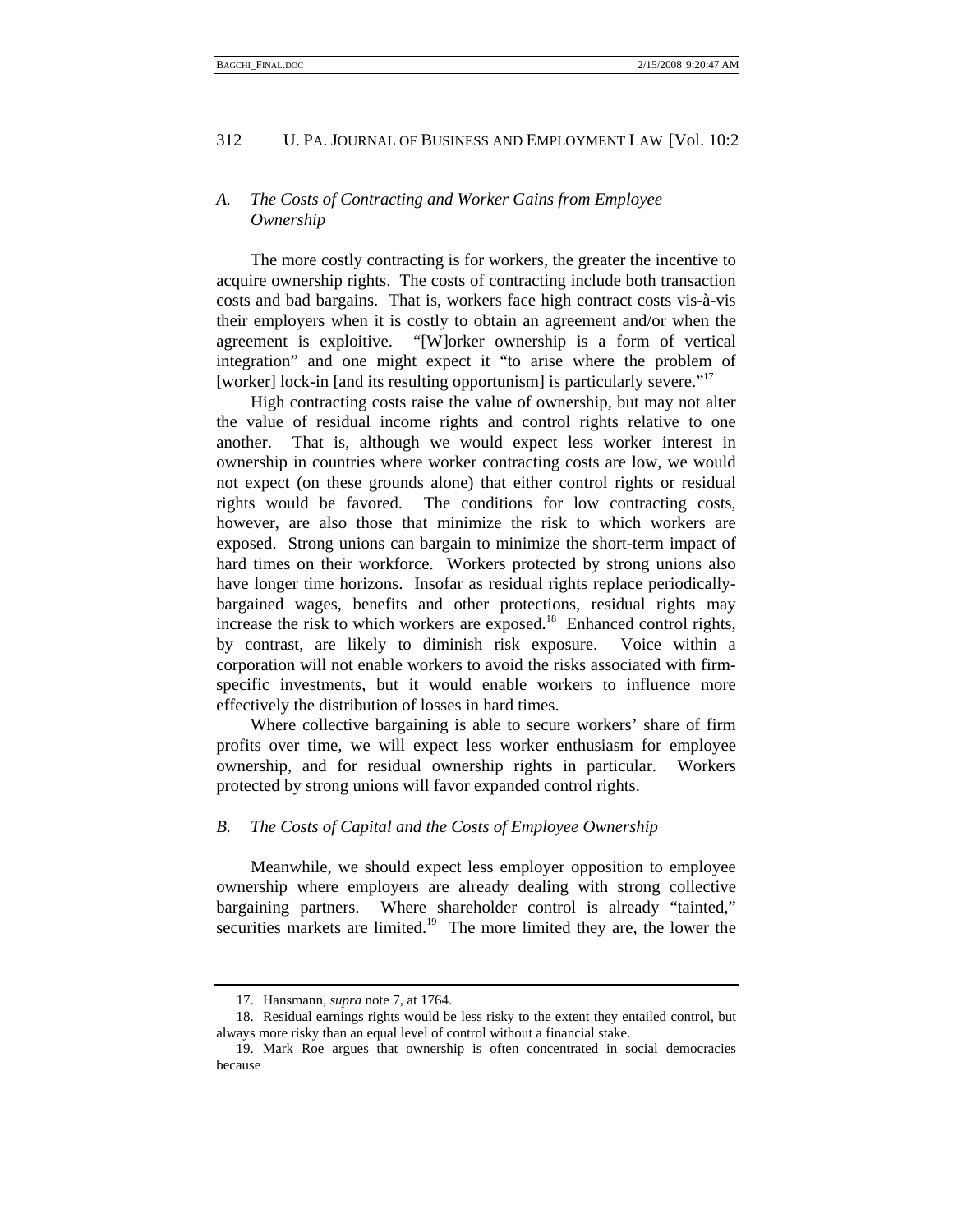# *A. The Costs of Contracting and Worker Gains from Employee Ownership*

The more costly contracting is for workers, the greater the incentive to acquire ownership rights. The costs of contracting include both transaction costs and bad bargains. That is, workers face high contract costs vis-à-vis their employers when it is costly to obtain an agreement and/or when the agreement is exploitive. "[W]orker ownership is a form of vertical integration" and one might expect it "to arise where the problem of [worker] lock-in [and its resulting opportunism] is particularly severe."<sup>17</sup>

High contracting costs raise the value of ownership, but may not alter the value of residual income rights and control rights relative to one another. That is, although we would expect less worker interest in ownership in countries where worker contracting costs are low, we would not expect (on these grounds alone) that either control rights or residual rights would be favored. The conditions for low contracting costs, however, are also those that minimize the risk to which workers are exposed. Strong unions can bargain to minimize the short-term impact of hard times on their workforce. Workers protected by strong unions also have longer time horizons. Insofar as residual rights replace periodicallybargained wages, benefits and other protections, residual rights may increase the risk to which workers are exposed.<sup>18</sup> Enhanced control rights, by contrast, are likely to diminish risk exposure. Voice within a corporation will not enable workers to avoid the risks associated with firmspecific investments, but it would enable workers to influence more effectively the distribution of losses in hard times.

Where collective bargaining is able to secure workers' share of firm profits over time, we will expect less worker enthusiasm for employee ownership, and for residual ownership rights in particular. Workers protected by strong unions will favor expanded control rights.

#### *B. The Costs of Capital and the Costs of Employee Ownership*

Meanwhile, we should expect less employer opposition to employee ownership where employers are already dealing with strong collective bargaining partners. Where shareholder control is already "tainted," securities markets are limited.<sup>19</sup> The more limited they are, the lower the

 <sup>17.</sup> Hansmann, *supra* note 7, at 1764.

 <sup>18.</sup> Residual earnings rights would be less risky to the extent they entailed control, but always more risky than an equal level of control without a financial stake.

 <sup>19.</sup> Mark Roe argues that ownership is often concentrated in social democracies because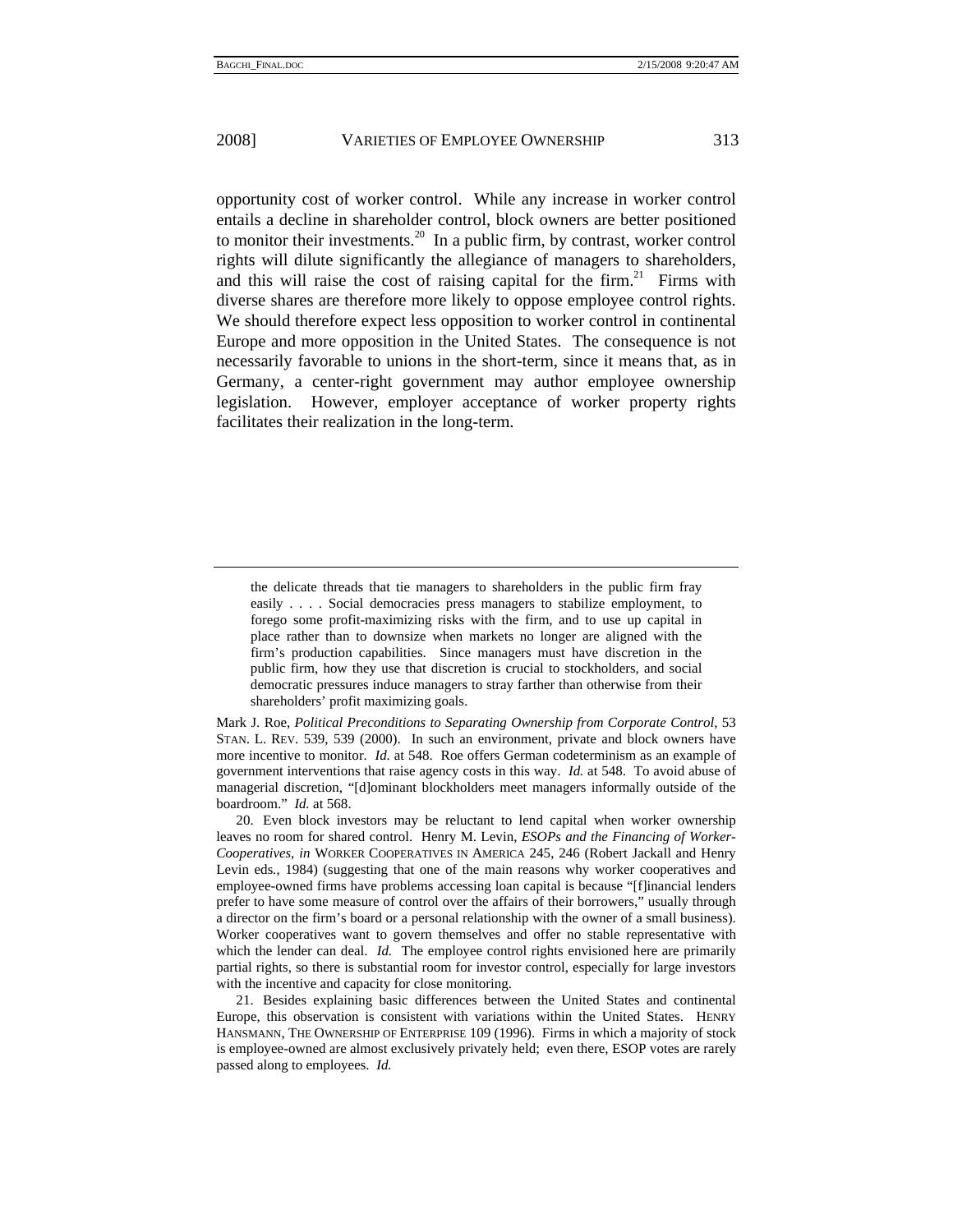opportunity cost of worker control. While any increase in worker control entails a decline in shareholder control, block owners are better positioned to monitor their investments.<sup>20</sup> In a public firm, by contrast, worker control rights will dilute significantly the allegiance of managers to shareholders, and this will raise the cost of raising capital for the firm.<sup>21</sup> Firms with diverse shares are therefore more likely to oppose employee control rights. We should therefore expect less opposition to worker control in continental Europe and more opposition in the United States. The consequence is not necessarily favorable to unions in the short-term, since it means that, as in Germany, a center-right government may author employee ownership legislation. However, employer acceptance of worker property rights facilitates their realization in the long-term.

Mark J. Roe, *Political Preconditions to Separating Ownership from Corporate Control*, 53 STAN. L. REV. 539, 539 (2000). In such an environment, private and block owners have more incentive to monitor. *Id.* at 548. Roe offers German codeterminism as an example of government interventions that raise agency costs in this way. *Id.* at 548. To avoid abuse of managerial discretion, "[d]ominant blockholders meet managers informally outside of the boardroom." *Id.* at 568.

 20. Even block investors may be reluctant to lend capital when worker ownership leaves no room for shared control. Henry M. Levin, *ESOPs and the Financing of Worker-Cooperatives*, *in* WORKER COOPERATIVES IN AMERICA 245, 246 (Robert Jackall and Henry Levin eds., 1984) (suggesting that one of the main reasons why worker cooperatives and employee-owned firms have problems accessing loan capital is because "[f]inancial lenders prefer to have some measure of control over the affairs of their borrowers," usually through a director on the firm's board or a personal relationship with the owner of a small business). Worker cooperatives want to govern themselves and offer no stable representative with which the lender can deal. *Id.* The employee control rights envisioned here are primarily partial rights, so there is substantial room for investor control, especially for large investors with the incentive and capacity for close monitoring.

 21. Besides explaining basic differences between the United States and continental Europe, this observation is consistent with variations within the United States. HENRY HANSMANN, THE OWNERSHIP OF ENTERPRISE 109 (1996). Firms in which a majority of stock is employee-owned are almost exclusively privately held; even there, ESOP votes are rarely passed along to employees. *Id.*

the delicate threads that tie managers to shareholders in the public firm fray easily . . . . Social democracies press managers to stabilize employment, to forego some profit-maximizing risks with the firm, and to use up capital in place rather than to downsize when markets no longer are aligned with the firm's production capabilities. Since managers must have discretion in the public firm, how they use that discretion is crucial to stockholders, and social democratic pressures induce managers to stray farther than otherwise from their shareholders' profit maximizing goals.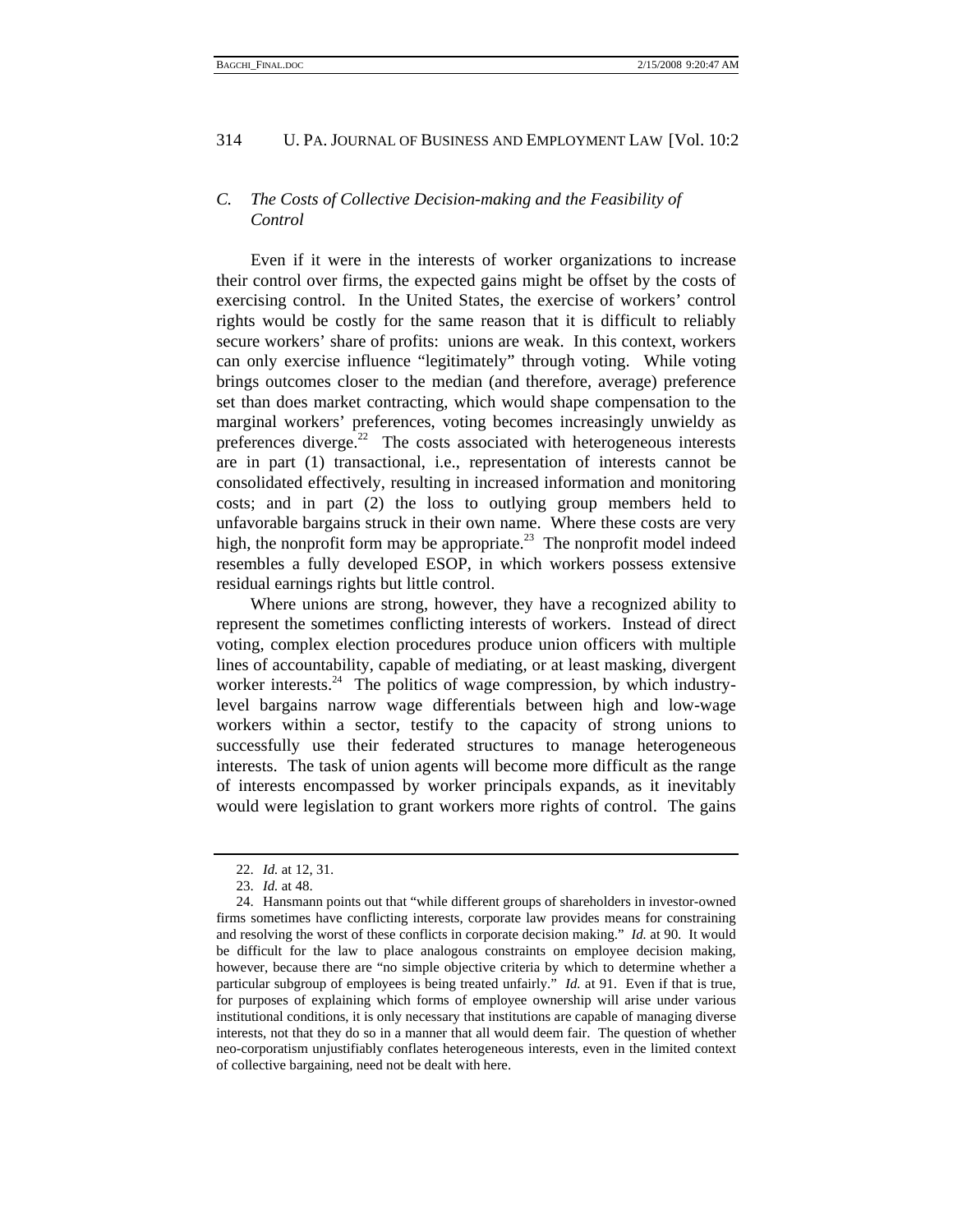# *C. The Costs of Collective Decision-making and the Feasibility of Control*

Even if it were in the interests of worker organizations to increase their control over firms, the expected gains might be offset by the costs of exercising control. In the United States, the exercise of workers' control rights would be costly for the same reason that it is difficult to reliably secure workers' share of profits: unions are weak. In this context, workers can only exercise influence "legitimately" through voting. While voting brings outcomes closer to the median (and therefore, average) preference set than does market contracting, which would shape compensation to the marginal workers' preferences, voting becomes increasingly unwieldy as preferences diverge. $22$  The costs associated with heterogeneous interests are in part (1) transactional, i.e., representation of interests cannot be consolidated effectively, resulting in increased information and monitoring costs; and in part (2) the loss to outlying group members held to unfavorable bargains struck in their own name. Where these costs are very high, the nonprofit form may be appropriate.<sup>23</sup> The nonprofit model indeed resembles a fully developed ESOP, in which workers possess extensive residual earnings rights but little control.

Where unions are strong, however, they have a recognized ability to represent the sometimes conflicting interests of workers. Instead of direct voting, complex election procedures produce union officers with multiple lines of accountability, capable of mediating, or at least masking, divergent worker interests.<sup>24</sup> The politics of wage compression, by which industrylevel bargains narrow wage differentials between high and low-wage workers within a sector, testify to the capacity of strong unions to successfully use their federated structures to manage heterogeneous interests. The task of union agents will become more difficult as the range of interests encompassed by worker principals expands, as it inevitably would were legislation to grant workers more rights of control. The gains

 <sup>22.</sup> *Id.* at 12, 31.

 <sup>23.</sup> *Id.* at 48.

 <sup>24.</sup> Hansmann points out that "while different groups of shareholders in investor-owned firms sometimes have conflicting interests, corporate law provides means for constraining and resolving the worst of these conflicts in corporate decision making." *Id.* at 90. It would be difficult for the law to place analogous constraints on employee decision making, however, because there are "no simple objective criteria by which to determine whether a particular subgroup of employees is being treated unfairly." *Id.* at 91. Even if that is true, for purposes of explaining which forms of employee ownership will arise under various institutional conditions, it is only necessary that institutions are capable of managing diverse interests, not that they do so in a manner that all would deem fair. The question of whether neo-corporatism unjustifiably conflates heterogeneous interests, even in the limited context of collective bargaining, need not be dealt with here.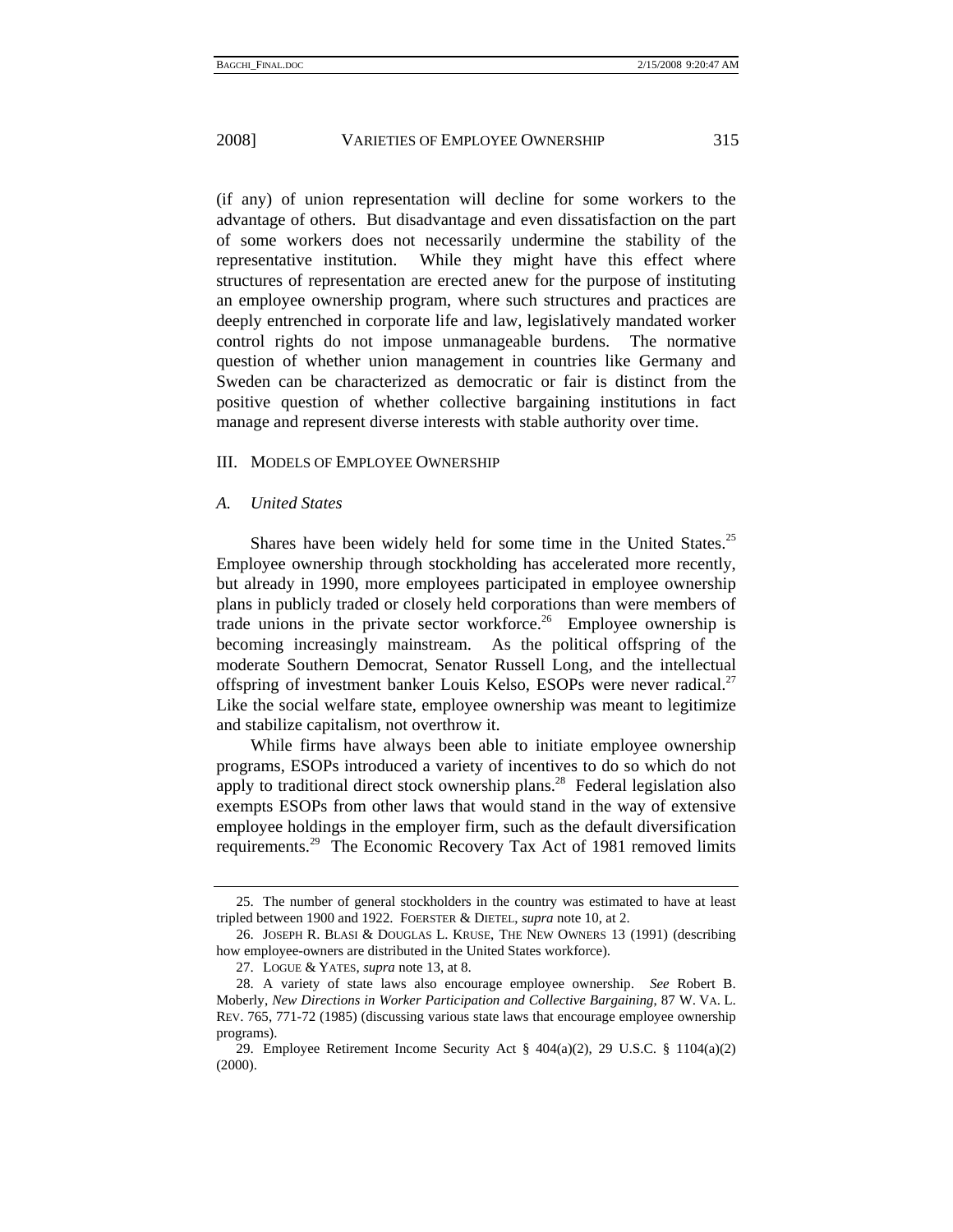(if any) of union representation will decline for some workers to the advantage of others. But disadvantage and even dissatisfaction on the part of some workers does not necessarily undermine the stability of the representative institution. While they might have this effect where structures of representation are erected anew for the purpose of instituting an employee ownership program, where such structures and practices are deeply entrenched in corporate life and law, legislatively mandated worker control rights do not impose unmanageable burdens. The normative question of whether union management in countries like Germany and Sweden can be characterized as democratic or fair is distinct from the positive question of whether collective bargaining institutions in fact manage and represent diverse interests with stable authority over time.

#### III. MODELS OF EMPLOYEE OWNERSHIP

#### *A. United States*

Shares have been widely held for some time in the United States.<sup>25</sup> Employee ownership through stockholding has accelerated more recently, but already in 1990, more employees participated in employee ownership plans in publicly traded or closely held corporations than were members of trade unions in the private sector workforce.<sup>26</sup> Employee ownership is becoming increasingly mainstream. As the political offspring of the moderate Southern Democrat, Senator Russell Long, and the intellectual offspring of investment banker Louis Kelso, ESOPs were never radical.<sup>27</sup> Like the social welfare state, employee ownership was meant to legitimize and stabilize capitalism, not overthrow it.

While firms have always been able to initiate employee ownership programs, ESOPs introduced a variety of incentives to do so which do not apply to traditional direct stock ownership plans.<sup>28</sup> Federal legislation also exempts ESOPs from other laws that would stand in the way of extensive employee holdings in the employer firm, such as the default diversification requirements.<sup>29</sup> The Economic Recovery Tax Act of 1981 removed limits

 <sup>25.</sup> The number of general stockholders in the country was estimated to have at least tripled between 1900 and 1922. FOERSTER & DIETEL, *supra* note 10, at 2.

 <sup>26.</sup> JOSEPH R. BLASI & DOUGLAS L. KRUSE, THE NEW OWNERS 13 (1991) (describing how employee-owners are distributed in the United States workforce).

 <sup>27.</sup> LOGUE & YATES, *supra* note 13, at 8.

 <sup>28.</sup> A variety of state laws also encourage employee ownership. *See* Robert B. Moberly, *New Directions in Worker Participation and Collective Bargaining*, 87 W. VA. L. REV. 765, 771-72 (1985) (discussing various state laws that encourage employee ownership programs).

 <sup>29.</sup> Employee Retirement Income Security Act § 404(a)(2), 29 U.S.C. § 1104(a)(2) (2000).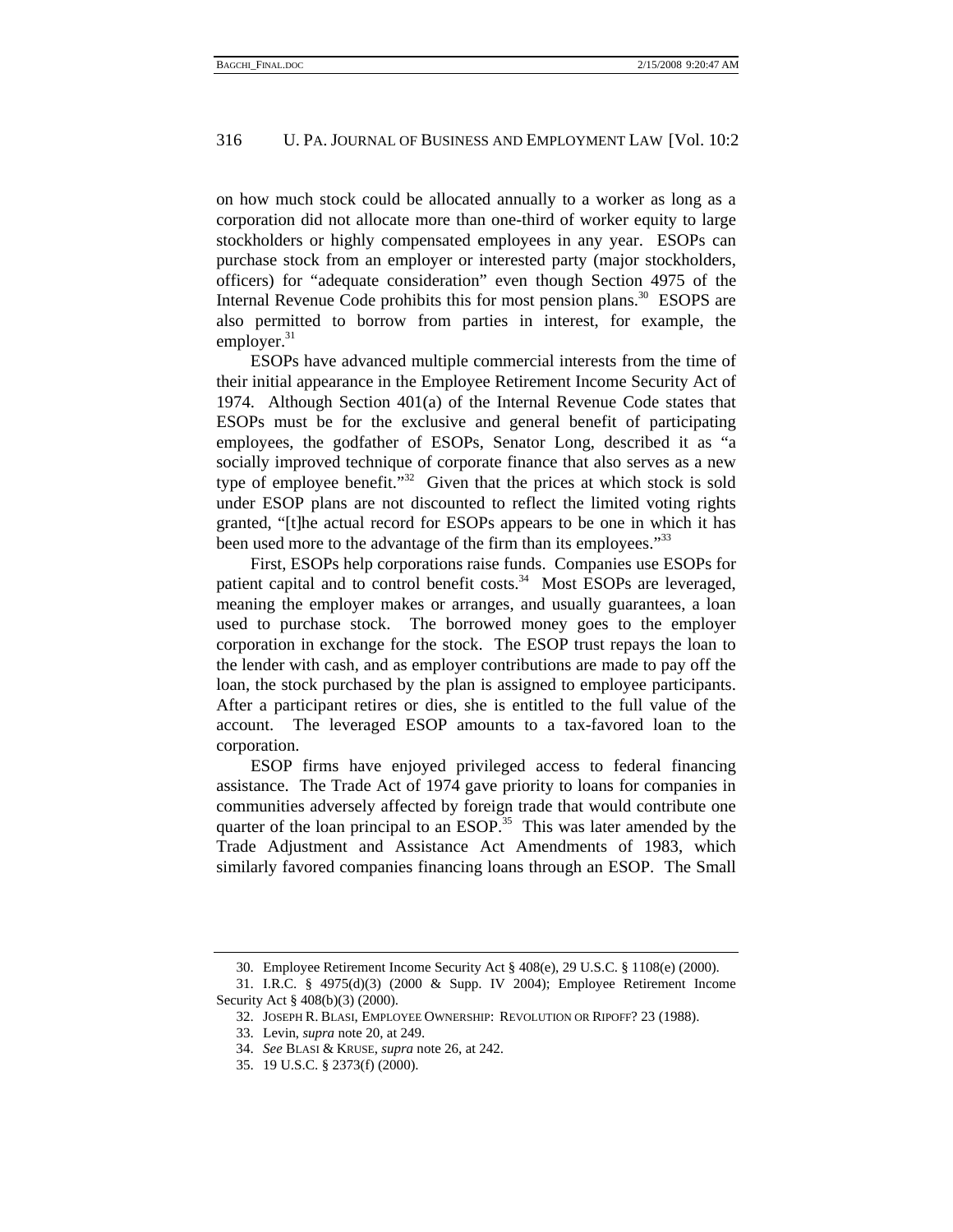on how much stock could be allocated annually to a worker as long as a corporation did not allocate more than one-third of worker equity to large stockholders or highly compensated employees in any year. ESOPs can purchase stock from an employer or interested party (major stockholders, officers) for "adequate consideration" even though Section 4975 of the Internal Revenue Code prohibits this for most pension plans.<sup>30</sup> ESOPS are also permitted to borrow from parties in interest, for example, the employer. $31$ 

ESOPs have advanced multiple commercial interests from the time of their initial appearance in the Employee Retirement Income Security Act of 1974. Although Section 401(a) of the Internal Revenue Code states that ESOPs must be for the exclusive and general benefit of participating employees, the godfather of ESOPs, Senator Long, described it as "a socially improved technique of corporate finance that also serves as a new type of employee benefit."<sup>32</sup> Given that the prices at which stock is sold under ESOP plans are not discounted to reflect the limited voting rights granted, "[t]he actual record for ESOPs appears to be one in which it has been used more to the advantage of the firm than its employees."<sup>33</sup>

First, ESOPs help corporations raise funds. Companies use ESOPs for patient capital and to control benefit costs.<sup>34</sup> Most ESOPs are leveraged, meaning the employer makes or arranges, and usually guarantees, a loan used to purchase stock. The borrowed money goes to the employer corporation in exchange for the stock. The ESOP trust repays the loan to the lender with cash, and as employer contributions are made to pay off the loan, the stock purchased by the plan is assigned to employee participants. After a participant retires or dies, she is entitled to the full value of the account. The leveraged ESOP amounts to a tax-favored loan to the corporation.

ESOP firms have enjoyed privileged access to federal financing assistance. The Trade Act of 1974 gave priority to loans for companies in communities adversely affected by foreign trade that would contribute one quarter of the loan principal to an ESOP.<sup>35</sup> This was later amended by the Trade Adjustment and Assistance Act Amendments of 1983, which similarly favored companies financing loans through an ESOP. The Small

 <sup>30.</sup> Employee Retirement Income Security Act § 408(e), 29 U.S.C. § 1108(e) (2000).

 <sup>31.</sup> I.R.C. § 4975(d)(3) (2000 & Supp. IV 2004); Employee Retirement Income Security Act § 408(b)(3) (2000).

 <sup>32.</sup> JOSEPH R. BLASI, EMPLOYEE OWNERSHIP: REVOLUTION OR RIPOFF? 23 (1988).

 <sup>33.</sup> Levin, *supra* note 20, at 249.

 <sup>34.</sup> *See* BLASI & KRUSE, *supra* note 26, at 242.

 <sup>35. 19</sup> U.S.C. § 2373(f) (2000).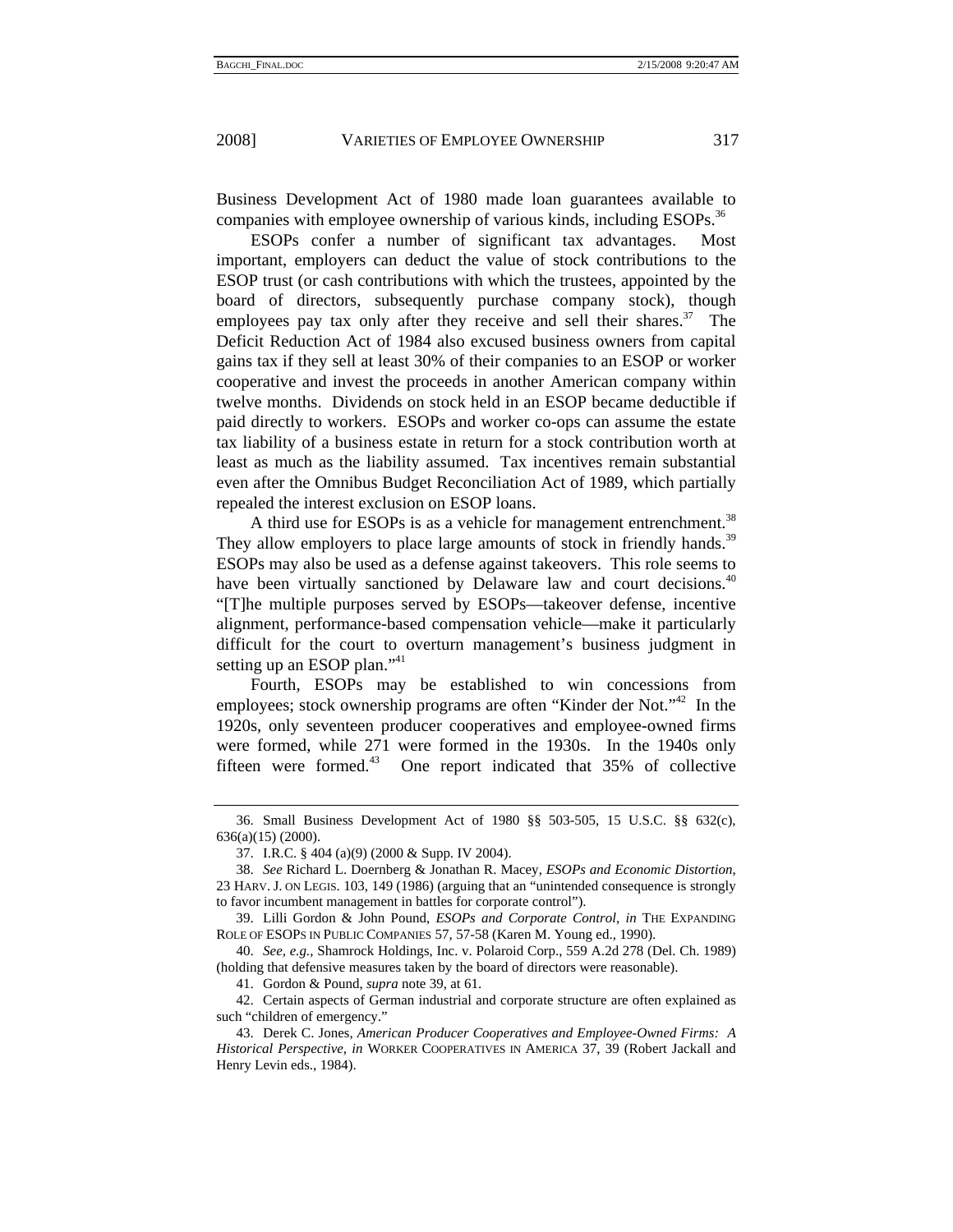Business Development Act of 1980 made loan guarantees available to companies with employee ownership of various kinds, including ESOPs.<sup>36</sup>

ESOPs confer a number of significant tax advantages. Most important, employers can deduct the value of stock contributions to the ESOP trust (or cash contributions with which the trustees, appointed by the board of directors, subsequently purchase company stock), though employees pay tax only after they receive and sell their shares.<sup>37</sup> The Deficit Reduction Act of 1984 also excused business owners from capital gains tax if they sell at least 30% of their companies to an ESOP or worker cooperative and invest the proceeds in another American company within twelve months. Dividends on stock held in an ESOP became deductible if paid directly to workers. ESOPs and worker co-ops can assume the estate tax liability of a business estate in return for a stock contribution worth at least as much as the liability assumed. Tax incentives remain substantial even after the Omnibus Budget Reconciliation Act of 1989, which partially repealed the interest exclusion on ESOP loans.

A third use for ESOPs is as a vehicle for management entrenchment.<sup>38</sup> They allow employers to place large amounts of stock in friendly hands.<sup>39</sup> ESOPs may also be used as a defense against takeovers. This role seems to have been virtually sanctioned by Delaware law and court decisions.<sup>40</sup> "[T]he multiple purposes served by ESOPs—takeover defense, incentive alignment, performance-based compensation vehicle—make it particularly difficult for the court to overturn management's business judgment in setting up an ESOP plan."<sup>41</sup>

Fourth, ESOPs may be established to win concessions from employees; stock ownership programs are often "Kinder der Not."<sup>42</sup> In the 1920s, only seventeen producer cooperatives and employee-owned firms were formed, while 271 were formed in the 1930s. In the 1940s only fifteen were formed.<sup>43</sup> One report indicated that 35% of collective

41. Gordon & Pound, *supra* note 39, at 61.

 42. Certain aspects of German industrial and corporate structure are often explained as such "children of emergency."

 <sup>36.</sup> Small Business Development Act of 1980 §§ 503-505, 15 U.S.C. §§ 632(c), 636(a)(15) (2000).

 <sup>37.</sup> I.R.C. § 404 (a)(9) (2000 & Supp. IV 2004).

 <sup>38.</sup> *See* Richard L. Doernberg & Jonathan R. Macey, *ESOPs and Economic Distortion*, 23 HARV. J. ON LEGIS. 103, 149 (1986) (arguing that an "unintended consequence is strongly to favor incumbent management in battles for corporate control").

 <sup>39.</sup> Lilli Gordon & John Pound, *ESOPs and Corporate Control*, *in* THE EXPANDING ROLE OF ESOPS IN PUBLIC COMPANIES 57, 57-58 (Karen M. Young ed., 1990).

 <sup>40.</sup> *See, e.g.*, Shamrock Holdings, Inc. v. Polaroid Corp., 559 A.2d 278 (Del. Ch. 1989) (holding that defensive measures taken by the board of directors were reasonable).

 <sup>43.</sup> Derek C. Jones, *American Producer Cooperatives and Employee-Owned Firms: A Historical Perspective*, *in* WORKER COOPERATIVES IN AMERICA 37, 39 (Robert Jackall and Henry Levin eds., 1984).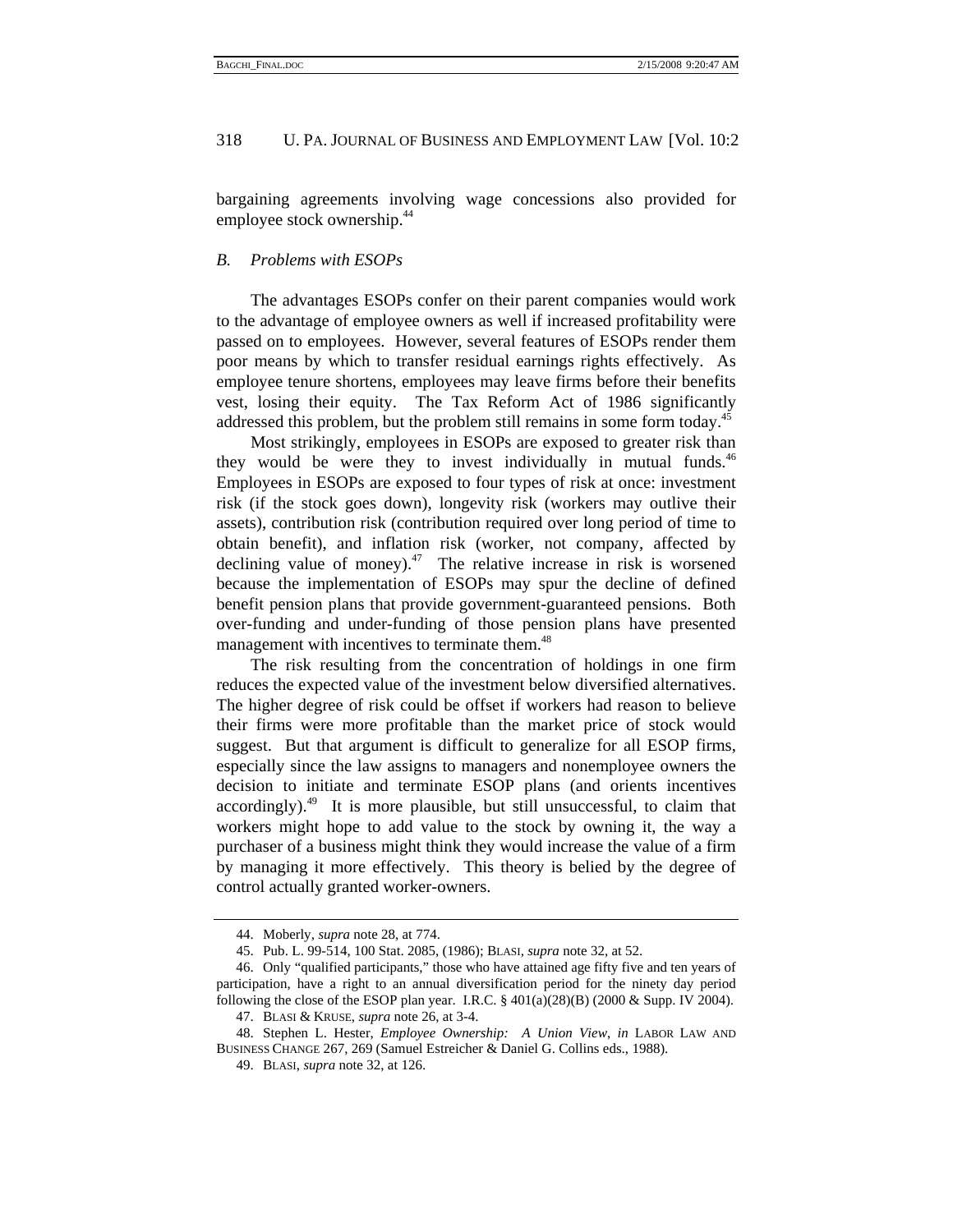bargaining agreements involving wage concessions also provided for employee stock ownership.<sup>44</sup>

#### *B. Problems with ESOPs*

The advantages ESOPs confer on their parent companies would work to the advantage of employee owners as well if increased profitability were passed on to employees. However, several features of ESOPs render them poor means by which to transfer residual earnings rights effectively. As employee tenure shortens, employees may leave firms before their benefits vest, losing their equity. The Tax Reform Act of 1986 significantly addressed this problem, but the problem still remains in some form today.<sup>45</sup>

Most strikingly, employees in ESOPs are exposed to greater risk than they would be were they to invest individually in mutual funds. $46$ Employees in ESOPs are exposed to four types of risk at once: investment risk (if the stock goes down), longevity risk (workers may outlive their assets), contribution risk (contribution required over long period of time to obtain benefit), and inflation risk (worker, not company, affected by declining value of money).<sup>47</sup> The relative increase in risk is worsened because the implementation of ESOPs may spur the decline of defined benefit pension plans that provide government-guaranteed pensions. Both over-funding and under-funding of those pension plans have presented management with incentives to terminate them.<sup>48</sup>

The risk resulting from the concentration of holdings in one firm reduces the expected value of the investment below diversified alternatives. The higher degree of risk could be offset if workers had reason to believe their firms were more profitable than the market price of stock would suggest. But that argument is difficult to generalize for all ESOP firms, especially since the law assigns to managers and nonemployee owners the decision to initiate and terminate ESOP plans (and orients incentives  $accordingly)<sup>49</sup>$  It is more plausible, but still unsuccessful, to claim that workers might hope to add value to the stock by owning it, the way a purchaser of a business might think they would increase the value of a firm by managing it more effectively. This theory is belied by the degree of control actually granted worker-owners.

 <sup>44.</sup> Moberly, *supra* note 28, at 774.

 <sup>45.</sup> Pub. L. 99-514, 100 Stat. 2085, (1986); BLASI, *supra* note 32, at 52.

 <sup>46.</sup> Only "qualified participants," those who have attained age fifty five and ten years of participation, have a right to an annual diversification period for the ninety day period following the close of the ESOP plan year. I.R.C.  $\S$  401(a)(28)(B) (2000 & Supp. IV 2004).

 <sup>47.</sup> BLASI & KRUSE, *supra* note 26, at 3-4.

 <sup>48.</sup> Stephen L. Hester, *Employee Ownership: A Union View*, *in* LABOR LAW AND BUSINESS CHANGE 267, 269 (Samuel Estreicher & Daniel G. Collins eds., 1988).

 <sup>49.</sup> BLASI, *supra* note 32, at 126.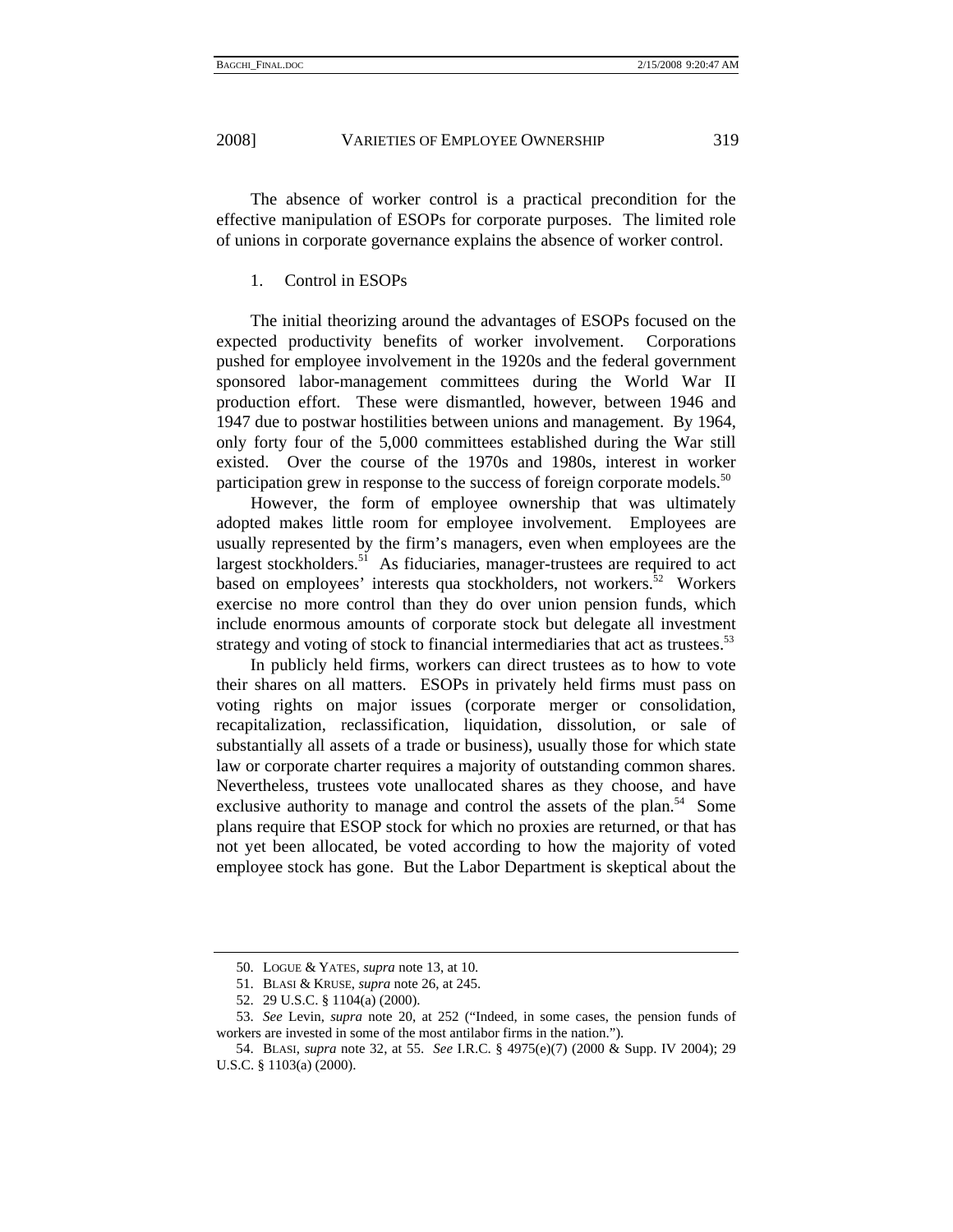The absence of worker control is a practical precondition for the effective manipulation of ESOPs for corporate purposes. The limited role of unions in corporate governance explains the absence of worker control.

# 1. Control in ESOPs

The initial theorizing around the advantages of ESOPs focused on the expected productivity benefits of worker involvement. Corporations pushed for employee involvement in the 1920s and the federal government sponsored labor-management committees during the World War II production effort. These were dismantled, however, between 1946 and 1947 due to postwar hostilities between unions and management. By 1964, only forty four of the 5,000 committees established during the War still existed. Over the course of the 1970s and 1980s, interest in worker participation grew in response to the success of foreign corporate models.<sup>50</sup>

However, the form of employee ownership that was ultimately adopted makes little room for employee involvement. Employees are usually represented by the firm's managers, even when employees are the largest stockholders.<sup>51</sup> As fiduciaries, manager-trustees are required to act based on employees' interests qua stockholders, not workers.<sup>52</sup> Workers exercise no more control than they do over union pension funds, which include enormous amounts of corporate stock but delegate all investment strategy and voting of stock to financial intermediaries that act as trustees.<sup>53</sup>

In publicly held firms, workers can direct trustees as to how to vote their shares on all matters. ESOPs in privately held firms must pass on voting rights on major issues (corporate merger or consolidation, recapitalization, reclassification, liquidation, dissolution, or sale of substantially all assets of a trade or business), usually those for which state law or corporate charter requires a majority of outstanding common shares. Nevertheless, trustees vote unallocated shares as they choose, and have exclusive authority to manage and control the assets of the plan.<sup>54</sup> Some plans require that ESOP stock for which no proxies are returned, or that has not yet been allocated, be voted according to how the majority of voted employee stock has gone. But the Labor Department is skeptical about the

 <sup>50.</sup> LOGUE & YATES, *supra* note 13, at 10.

 <sup>51.</sup> BLASI & KRUSE, *supra* note 26, at 245.

 <sup>52. 29</sup> U.S.C. § 1104(a) (2000).

 <sup>53.</sup> *See* Levin, *supra* note 20, at 252 ("Indeed, in some cases, the pension funds of workers are invested in some of the most antilabor firms in the nation.").

 <sup>54.</sup> BLASI, *supra* note 32, at 55. *See* I.R.C. § 4975(e)(7) (2000 & Supp. IV 2004); 29 U.S.C. § 1103(a) (2000).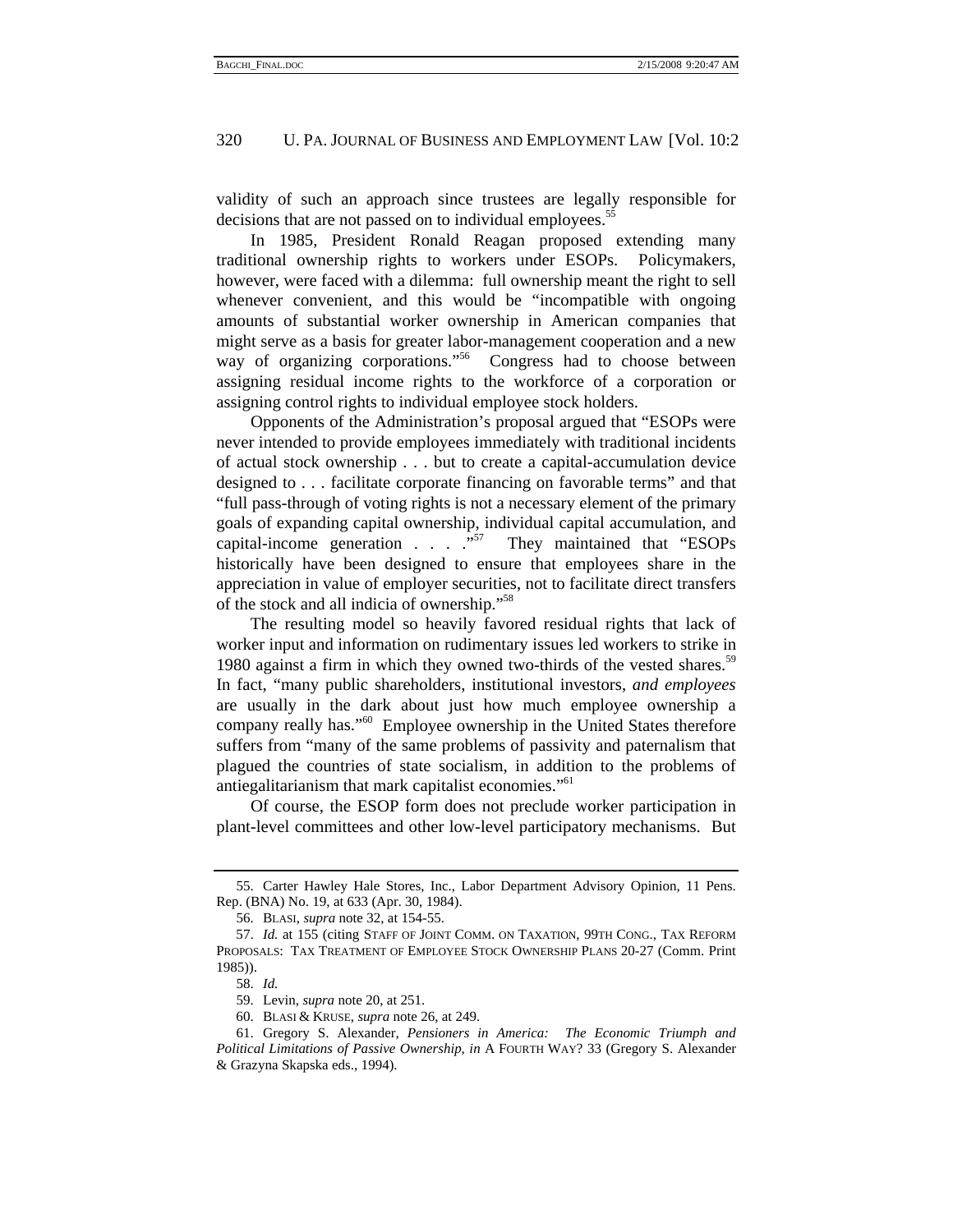validity of such an approach since trustees are legally responsible for decisions that are not passed on to individual employees.<sup>55</sup>

In 1985, President Ronald Reagan proposed extending many traditional ownership rights to workers under ESOPs. Policymakers, however, were faced with a dilemma: full ownership meant the right to sell whenever convenient, and this would be "incompatible with ongoing amounts of substantial worker ownership in American companies that might serve as a basis for greater labor-management cooperation and a new way of organizing corporations."<sup>56</sup> Congress had to choose between assigning residual income rights to the workforce of a corporation or assigning control rights to individual employee stock holders.

Opponents of the Administration's proposal argued that "ESOPs were never intended to provide employees immediately with traditional incidents of actual stock ownership . . . but to create a capital-accumulation device designed to . . . facilitate corporate financing on favorable terms" and that "full pass-through of voting rights is not a necessary element of the primary goals of expanding capital ownership, individual capital accumulation, and capital-income generation  $\ldots$   $\ldots$   $\ldots$  They maintained that "ESOPs" historically have been designed to ensure that employees share in the appreciation in value of employer securities, not to facilitate direct transfers of the stock and all indicia of ownership."58

The resulting model so heavily favored residual rights that lack of worker input and information on rudimentary issues led workers to strike in 1980 against a firm in which they owned two-thirds of the vested shares.<sup>59</sup> In fact, "many public shareholders, institutional investors, *and employees* are usually in the dark about just how much employee ownership a company really has."60 Employee ownership in the United States therefore suffers from "many of the same problems of passivity and paternalism that plagued the countries of state socialism, in addition to the problems of antiegalitarianism that mark capitalist economies."61

Of course, the ESOP form does not preclude worker participation in plant-level committees and other low-level participatory mechanisms. But

 <sup>55.</sup> Carter Hawley Hale Stores, Inc., Labor Department Advisory Opinion, 11 Pens. Rep. (BNA) No. 19, at 633 (Apr. 30, 1984).

 <sup>56.</sup> BLASI, *supra* note 32, at 154-55.

 <sup>57.</sup> *Id.* at 155 (citing STAFF OF JOINT COMM. ON TAXATION, 99TH CONG., TAX REFORM PROPOSALS: TAX TREATMENT OF EMPLOYEE STOCK OWNERSHIP PLANS 20-27 (Comm. Print 1985)).

 <sup>58.</sup> *Id.*

 <sup>59.</sup> Levin, *supra* note 20, at 251.

 <sup>60.</sup> BLASI & KRUSE, *supra* note 26, at 249.

 <sup>61.</sup> Gregory S. Alexander, *Pensioners in America: The Economic Triumph and Political Limitations of Passive Ownership*, *in* A FOURTH WAY? 33 (Gregory S. Alexander & Grazyna Skapska eds., 1994).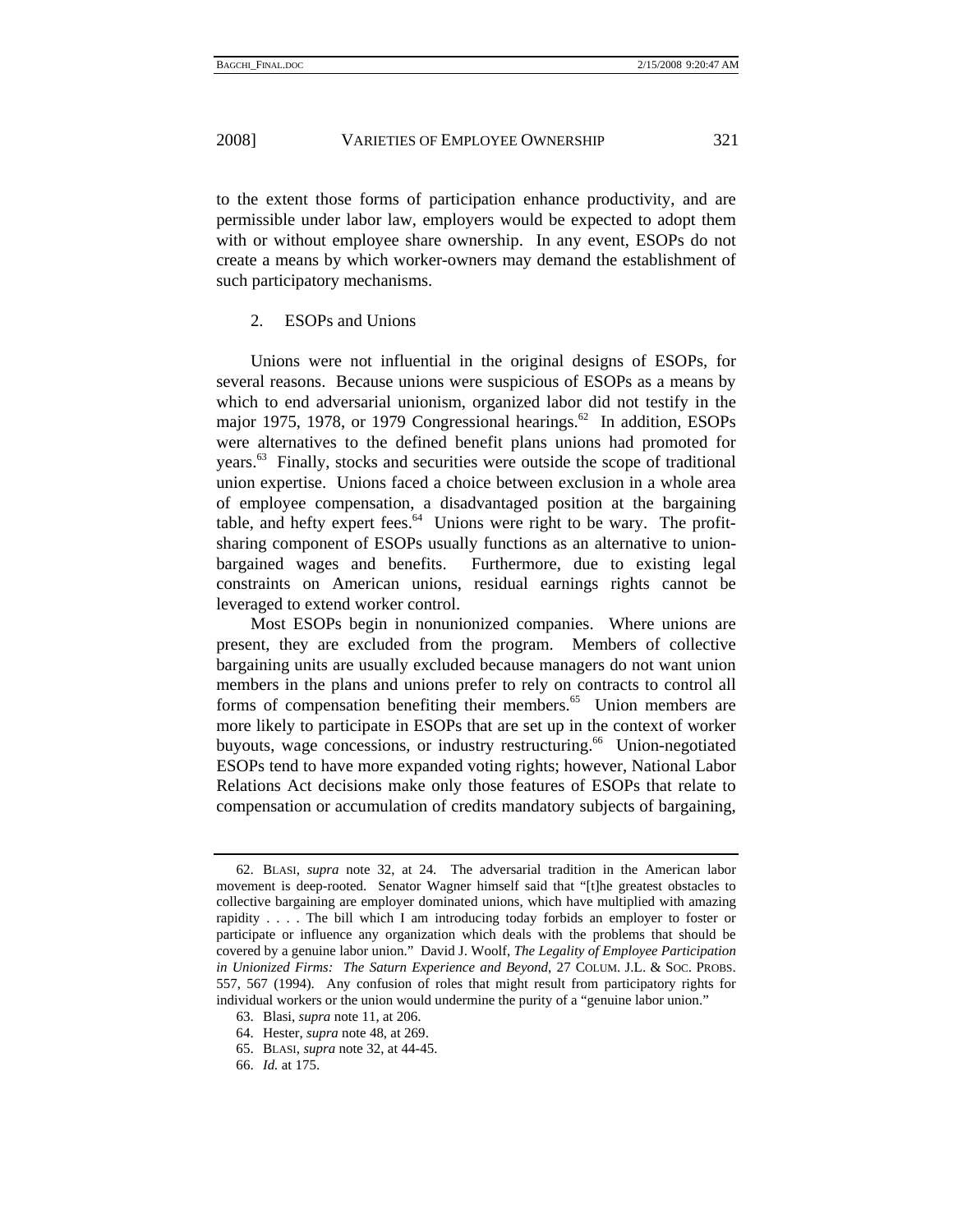to the extent those forms of participation enhance productivity, and are permissible under labor law, employers would be expected to adopt them with or without employee share ownership. In any event, ESOPs do not create a means by which worker-owners may demand the establishment of such participatory mechanisms.

#### 2. ESOPs and Unions

Unions were not influential in the original designs of ESOPs, for several reasons. Because unions were suspicious of ESOPs as a means by which to end adversarial unionism, organized labor did not testify in the major 1975, 1978, or 1979 Congressional hearings.<sup>62</sup> In addition, ESOPs were alternatives to the defined benefit plans unions had promoted for years.63 Finally, stocks and securities were outside the scope of traditional union expertise. Unions faced a choice between exclusion in a whole area of employee compensation, a disadvantaged position at the bargaining table, and hefty expert fees. $64$  Unions were right to be wary. The profitsharing component of ESOPs usually functions as an alternative to unionbargained wages and benefits. Furthermore, due to existing legal constraints on American unions, residual earnings rights cannot be leveraged to extend worker control.

Most ESOPs begin in nonunionized companies. Where unions are present, they are excluded from the program. Members of collective bargaining units are usually excluded because managers do not want union members in the plans and unions prefer to rely on contracts to control all forms of compensation benefiting their members.<sup>65</sup> Union members are more likely to participate in ESOPs that are set up in the context of worker buyouts, wage concessions, or industry restructuring.<sup>66</sup> Union-negotiated ESOPs tend to have more expanded voting rights; however, National Labor Relations Act decisions make only those features of ESOPs that relate to compensation or accumulation of credits mandatory subjects of bargaining,

 <sup>62.</sup> BLASI, *supra* note 32, at 24. The adversarial tradition in the American labor movement is deep-rooted. Senator Wagner himself said that "[t]he greatest obstacles to collective bargaining are employer dominated unions, which have multiplied with amazing rapidity . . . . The bill which I am introducing today forbids an employer to foster or participate or influence any organization which deals with the problems that should be covered by a genuine labor union." David J. Woolf, *The Legality of Employee Participation in Unionized Firms: The Saturn Experience and Beyond*, 27 COLUM. J.L. & SOC. PROBS. 557, 567 (1994). Any confusion of roles that might result from participatory rights for individual workers or the union would undermine the purity of a "genuine labor union."

 <sup>63.</sup> Blasi, *supra* note 11, at 206.

 <sup>64.</sup> Hester, *supra* note 48, at 269.

 <sup>65.</sup> BLASI, *supra* note 32, at 44-45.

 <sup>66.</sup> *Id.* at 175.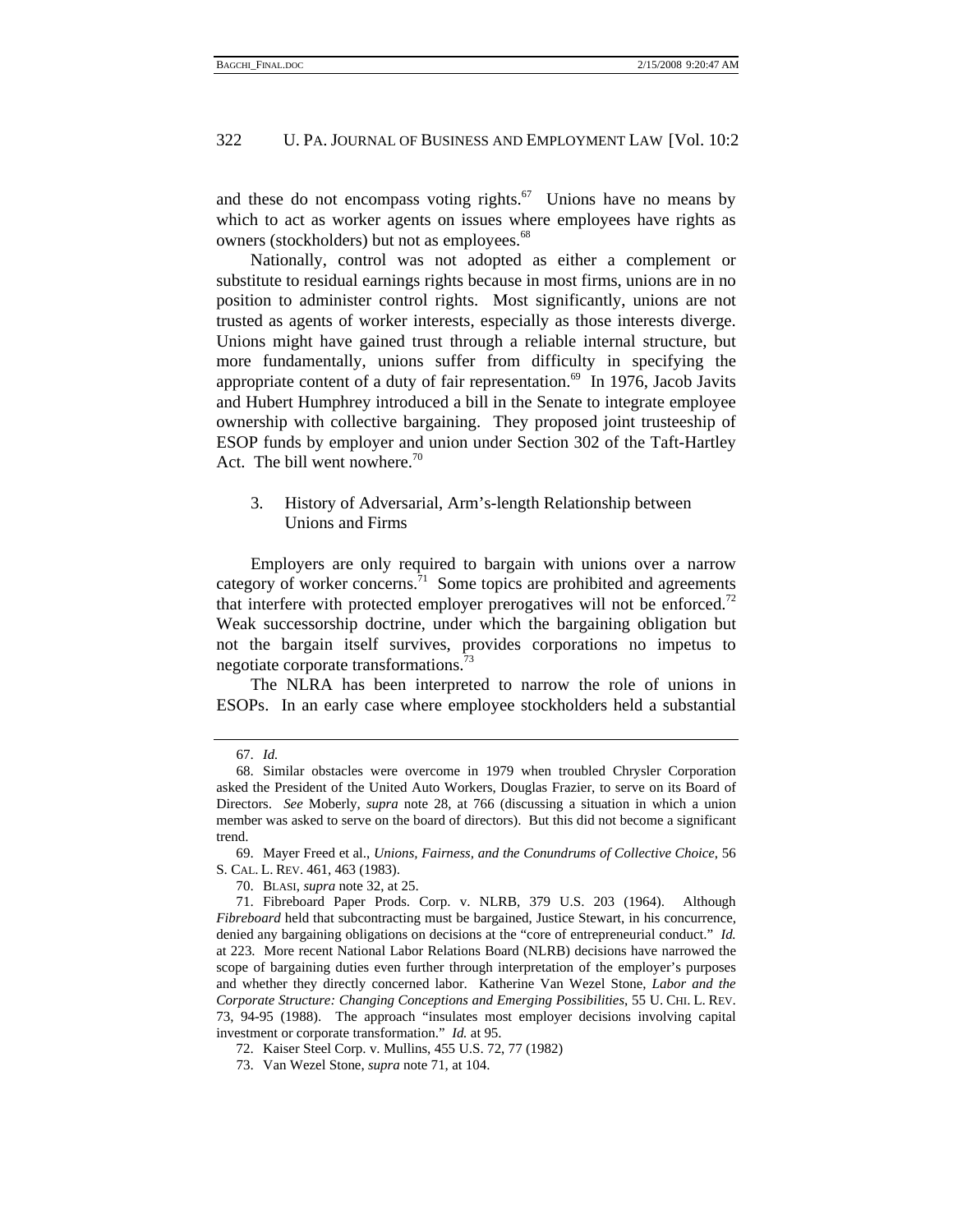and these do not encompass voting rights.<sup>67</sup> Unions have no means by which to act as worker agents on issues where employees have rights as owners (stockholders) but not as employees.<sup>68</sup>

Nationally, control was not adopted as either a complement or substitute to residual earnings rights because in most firms, unions are in no position to administer control rights. Most significantly, unions are not trusted as agents of worker interests, especially as those interests diverge. Unions might have gained trust through a reliable internal structure, but more fundamentally, unions suffer from difficulty in specifying the appropriate content of a duty of fair representation.<sup>69</sup> In 1976, Jacob Javits and Hubert Humphrey introduced a bill in the Senate to integrate employee ownership with collective bargaining. They proposed joint trusteeship of ESOP funds by employer and union under Section 302 of the Taft-Hartley Act. The bill went nowhere. $70$ 

3. History of Adversarial, Arm's-length Relationship between Unions and Firms

Employers are only required to bargain with unions over a narrow category of worker concerns. $^{71}$  Some topics are prohibited and agreements that interfere with protected employer prerogatives will not be enforced.<sup>72</sup> Weak successorship doctrine, under which the bargaining obligation but not the bargain itself survives, provides corporations no impetus to negotiate corporate transformations.<sup>73</sup>

The NLRA has been interpreted to narrow the role of unions in ESOPs. In an early case where employee stockholders held a substantial

 <sup>67.</sup> *Id.*

 <sup>68.</sup> Similar obstacles were overcome in 1979 when troubled Chrysler Corporation asked the President of the United Auto Workers, Douglas Frazier, to serve on its Board of Directors. *See* Moberly, *supra* note 28, at 766 (discussing a situation in which a union member was asked to serve on the board of directors). But this did not become a significant trend.

 <sup>69.</sup> Mayer Freed et al., *Unions, Fairness, and the Conundrums of Collective Choice*, 56 S. CAL. L. REV. 461, 463 (1983).

 <sup>70.</sup> BLASI, *supra* note 32, at 25.

 <sup>71.</sup> Fibreboard Paper Prods. Corp. v. NLRB, 379 U.S. 203 (1964). Although *Fibreboard* held that subcontracting must be bargained, Justice Stewart, in his concurrence, denied any bargaining obligations on decisions at the "core of entrepreneurial conduct." *Id.* at 223. More recent National Labor Relations Board (NLRB) decisions have narrowed the scope of bargaining duties even further through interpretation of the employer's purposes and whether they directly concerned labor. Katherine Van Wezel Stone, *Labor and the Corporate Structure: Changing Conceptions and Emerging Possibilities*, 55 U. CHI. L. REV. 73, 94-95 (1988). The approach "insulates most employer decisions involving capital investment or corporate transformation." *Id.* at 95.

 <sup>72.</sup> Kaiser Steel Corp. v. Mullins, 455 U.S. 72, 77 (1982)

 <sup>73.</sup> Van Wezel Stone, *supra* note 71, at 104.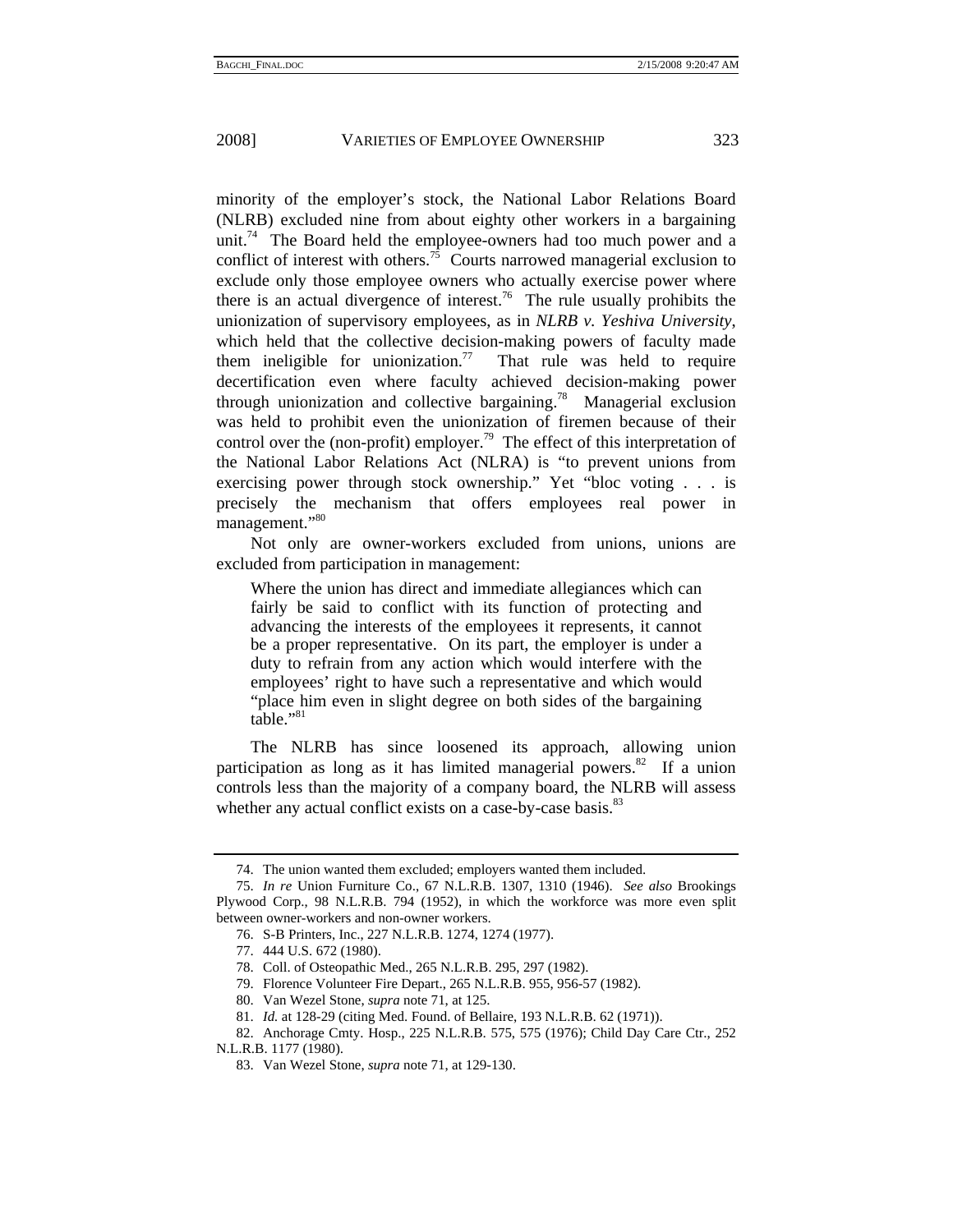minority of the employer's stock, the National Labor Relations Board (NLRB) excluded nine from about eighty other workers in a bargaining unit.<sup>74</sup> The Board held the employee-owners had too much power and a conflict of interest with others.<sup>75</sup> Courts narrowed managerial exclusion to exclude only those employee owners who actually exercise power where there is an actual divergence of interest.<sup>76</sup> The rule usually prohibits the unionization of supervisory employees, as in *NLRB v. Yeshiva University*, which held that the collective decision-making powers of faculty made them ineligible for unionization.<sup>77</sup> That rule was held to require decertification even where faculty achieved decision-making power through unionization and collective bargaining.<sup>78</sup> Managerial exclusion was held to prohibit even the unionization of firemen because of their control over the (non-profit) employer.<sup>79</sup> The effect of this interpretation of the National Labor Relations Act (NLRA) is "to prevent unions from exercising power through stock ownership." Yet "bloc voting . . . is precisely the mechanism that offers employees real power in management."<sup>80</sup>

Not only are owner-workers excluded from unions, unions are excluded from participation in management:

Where the union has direct and immediate allegiances which can fairly be said to conflict with its function of protecting and advancing the interests of the employees it represents, it cannot be a proper representative. On its part, the employer is under a duty to refrain from any action which would interfere with the employees' right to have such a representative and which would "place him even in slight degree on both sides of the bargaining table."<sup>81</sup>

The NLRB has since loosened its approach, allowing union participation as long as it has limited managerial powers.<sup>82</sup> If a union controls less than the majority of a company board, the NLRB will assess whether any actual conflict exists on a case-by-case basis.<sup>83</sup>

 <sup>74.</sup> The union wanted them excluded; employers wanted them included.

 <sup>75.</sup> *In re* Union Furniture Co., 67 N.L.R.B. 1307, 1310 (1946). *See also* Brookings Plywood Corp., 98 N.L.R.B. 794 (1952), in which the workforce was more even split between owner-workers and non-owner workers.

 <sup>76.</sup> S-B Printers, Inc., 227 N.L.R.B. 1274, 1274 (1977).

 <sup>77. 444</sup> U.S. 672 (1980).

 <sup>78.</sup> Coll. of Osteopathic Med., 265 N.L.R.B. 295, 297 (1982).

 <sup>79.</sup> Florence Volunteer Fire Depart., 265 N.L.R.B. 955, 956-57 (1982).

 <sup>80.</sup> Van Wezel Stone, *supra* note 71, at 125.

 <sup>81.</sup> *Id.* at 128-29 (citing Med. Found. of Bellaire, 193 N.L.R.B. 62 (1971)).

 <sup>82.</sup> Anchorage Cmty. Hosp., 225 N.L.R.B. 575, 575 (1976); Child Day Care Ctr., 252

N.L.R.B. 1177 (1980).

 <sup>83.</sup> Van Wezel Stone, *supra* note 71, at 129-130.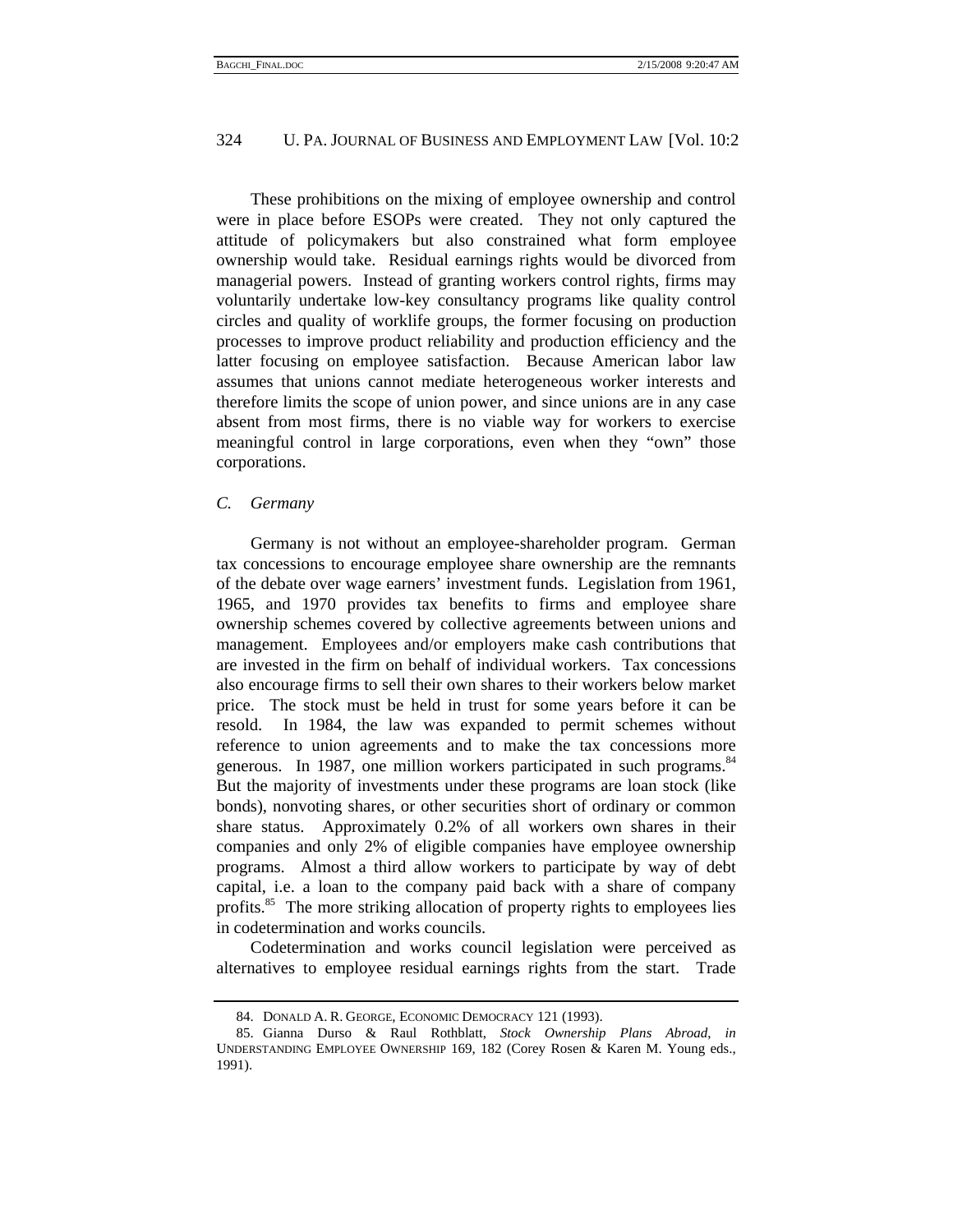These prohibitions on the mixing of employee ownership and control were in place before ESOPs were created. They not only captured the attitude of policymakers but also constrained what form employee ownership would take. Residual earnings rights would be divorced from managerial powers. Instead of granting workers control rights, firms may voluntarily undertake low-key consultancy programs like quality control circles and quality of worklife groups, the former focusing on production processes to improve product reliability and production efficiency and the latter focusing on employee satisfaction. Because American labor law assumes that unions cannot mediate heterogeneous worker interests and therefore limits the scope of union power, and since unions are in any case absent from most firms, there is no viable way for workers to exercise meaningful control in large corporations, even when they "own" those corporations.

#### *C. Germany*

Germany is not without an employee-shareholder program. German tax concessions to encourage employee share ownership are the remnants of the debate over wage earners' investment funds. Legislation from 1961, 1965, and 1970 provides tax benefits to firms and employee share ownership schemes covered by collective agreements between unions and management. Employees and/or employers make cash contributions that are invested in the firm on behalf of individual workers. Tax concessions also encourage firms to sell their own shares to their workers below market price. The stock must be held in trust for some years before it can be resold. In 1984, the law was expanded to permit schemes without reference to union agreements and to make the tax concessions more generous. In 1987, one million workers participated in such programs.<sup>84</sup> But the majority of investments under these programs are loan stock (like bonds), nonvoting shares, or other securities short of ordinary or common share status. Approximately 0.2% of all workers own shares in their companies and only 2% of eligible companies have employee ownership programs. Almost a third allow workers to participate by way of debt capital, i.e. a loan to the company paid back with a share of company profits.<sup>85</sup> The more striking allocation of property rights to employees lies in codetermination and works councils.

Codetermination and works council legislation were perceived as alternatives to employee residual earnings rights from the start. Trade

 <sup>84.</sup> DONALD A. R. GEORGE, ECONOMIC DEMOCRACY 121 (1993).

 <sup>85.</sup> Gianna Durso & Raul Rothblatt, *Stock Ownership Plans Abroad*, *in* UNDERSTANDING EMPLOYEE OWNERSHIP 169, 182 (Corey Rosen & Karen M. Young eds., 1991).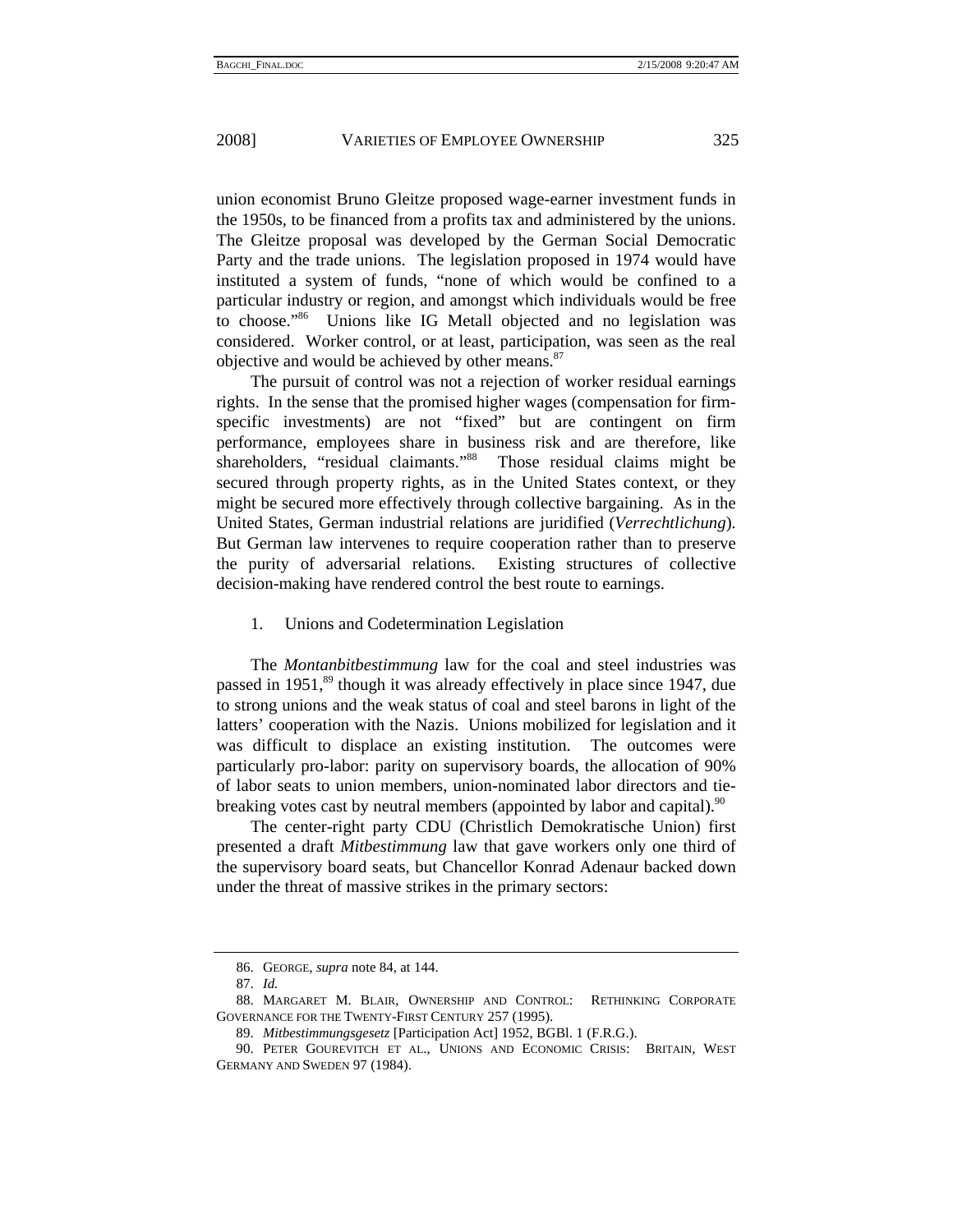union economist Bruno Gleitze proposed wage-earner investment funds in the 1950s, to be financed from a profits tax and administered by the unions. The Gleitze proposal was developed by the German Social Democratic Party and the trade unions. The legislation proposed in 1974 would have instituted a system of funds, "none of which would be confined to a particular industry or region, and amongst which individuals would be free to choose."86 Unions like IG Metall objected and no legislation was considered. Worker control, or at least, participation, was seen as the real objective and would be achieved by other means.<sup>87</sup>

The pursuit of control was not a rejection of worker residual earnings rights. In the sense that the promised higher wages (compensation for firmspecific investments) are not "fixed" but are contingent on firm performance, employees share in business risk and are therefore, like shareholders, "residual claimants."<sup>88</sup> Those residual claims might be secured through property rights, as in the United States context, or they might be secured more effectively through collective bargaining. As in the United States, German industrial relations are juridified (*Verrechtlichung*). But German law intervenes to require cooperation rather than to preserve the purity of adversarial relations. Existing structures of collective decision-making have rendered control the best route to earnings.

1. Unions and Codetermination Legislation

The *Montanbitbestimmung* law for the coal and steel industries was passed in 1951,<sup>89</sup> though it was already effectively in place since 1947, due to strong unions and the weak status of coal and steel barons in light of the latters' cooperation with the Nazis. Unions mobilized for legislation and it was difficult to displace an existing institution. The outcomes were particularly pro-labor: parity on supervisory boards, the allocation of 90% of labor seats to union members, union-nominated labor directors and tiebreaking votes cast by neutral members (appointed by labor and capital). <sup>90</sup>

The center-right party CDU (Christlich Demokratische Union) first presented a draft *Mitbestimmung* law that gave workers only one third of the supervisory board seats, but Chancellor Konrad Adenaur backed down under the threat of massive strikes in the primary sectors:

 <sup>86.</sup> GEORGE, *supra* note 84, at 144.

 <sup>87.</sup> *Id.*

 <sup>88.</sup> MARGARET M. BLAIR, OWNERSHIP AND CONTROL: RETHINKING CORPORATE GOVERNANCE FOR THE TWENTY-FIRST CENTURY 257 (1995).

 <sup>89.</sup> *Mitbestimmungsgesetz* [Participation Act] 1952, BGBl. 1 (F.R.G.).

 <sup>90.</sup> PETER GOUREVITCH ET AL., UNIONS AND ECONOMIC CRISIS: BRITAIN, WEST GERMANY AND SWEDEN 97 (1984).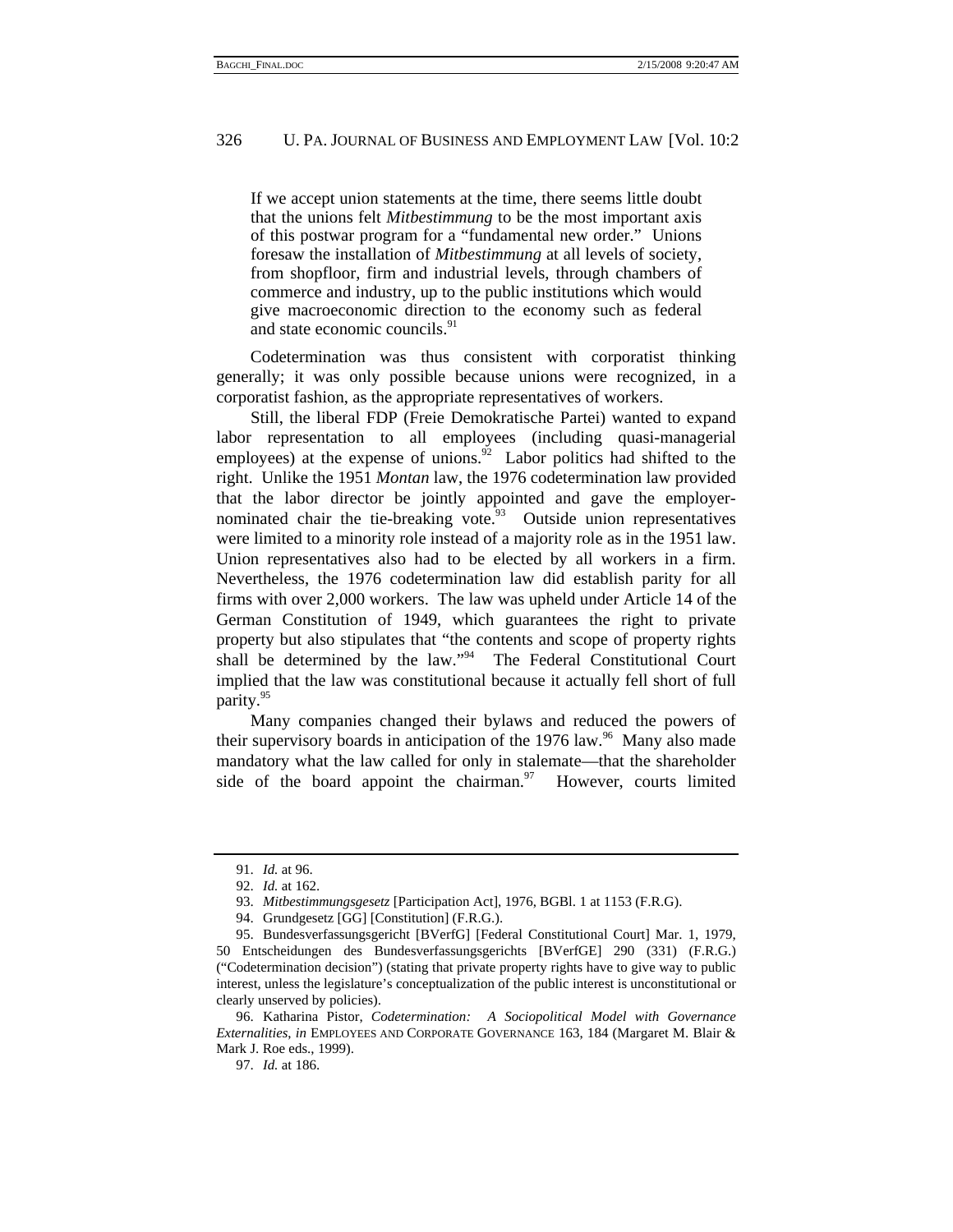If we accept union statements at the time, there seems little doubt that the unions felt *Mitbestimmung* to be the most important axis of this postwar program for a "fundamental new order." Unions foresaw the installation of *Mitbestimmung* at all levels of society, from shopfloor, firm and industrial levels, through chambers of commerce and industry, up to the public institutions which would give macroeconomic direction to the economy such as federal and state economic councils.<sup>91</sup>

Codetermination was thus consistent with corporatist thinking generally; it was only possible because unions were recognized, in a corporatist fashion, as the appropriate representatives of workers.

Still, the liberal FDP (Freie Demokratische Partei) wanted to expand labor representation to all employees (including quasi-managerial employees) at the expense of unions.<sup>92</sup> Labor politics had shifted to the right. Unlike the 1951 *Montan* law, the 1976 codetermination law provided that the labor director be jointly appointed and gave the employernominated chair the tie-breaking vote. $93$  Outside union representatives were limited to a minority role instead of a majority role as in the 1951 law. Union representatives also had to be elected by all workers in a firm. Nevertheless, the 1976 codetermination law did establish parity for all firms with over 2,000 workers. The law was upheld under Article 14 of the German Constitution of 1949, which guarantees the right to private property but also stipulates that "the contents and scope of property rights shall be determined by the law."<sup>94</sup> The Federal Constitutional Court implied that the law was constitutional because it actually fell short of full parity.<sup>95</sup>

Many companies changed their bylaws and reduced the powers of their supervisory boards in anticipation of the  $1976$  law.<sup>96</sup> Many also made mandatory what the law called for only in stalemate—that the shareholder side of the board appoint the chairman. $97$  However, courts limited

 <sup>91.</sup> *Id.* at 96.

 <sup>92.</sup> *Id.* at 162.

 <sup>93.</sup> *Mitbestimmungsgesetz* [Participation Act], 1976, BGBl. 1 at 1153 (F.R.G).

 <sup>94.</sup> Grundgesetz [GG] [Constitution] (F.R.G.).

 <sup>95.</sup> Bundesverfassungsgericht [BVerfG] [Federal Constitutional Court] Mar. 1, 1979, 50 Entscheidungen des Bundesverfassungsgerichts [BVerfGE] 290 (331) (F.R.G.) ("Codetermination decision") (stating that private property rights have to give way to public interest, unless the legislature's conceptualization of the public interest is unconstitutional or clearly unserved by policies).

 <sup>96.</sup> Katharina Pistor, *Codetermination: A Sociopolitical Model with Governance Externalities*, *in* EMPLOYEES AND CORPORATE GOVERNANCE 163, 184 (Margaret M. Blair & Mark J. Roe eds., 1999).

 <sup>97.</sup> *Id.* at 186.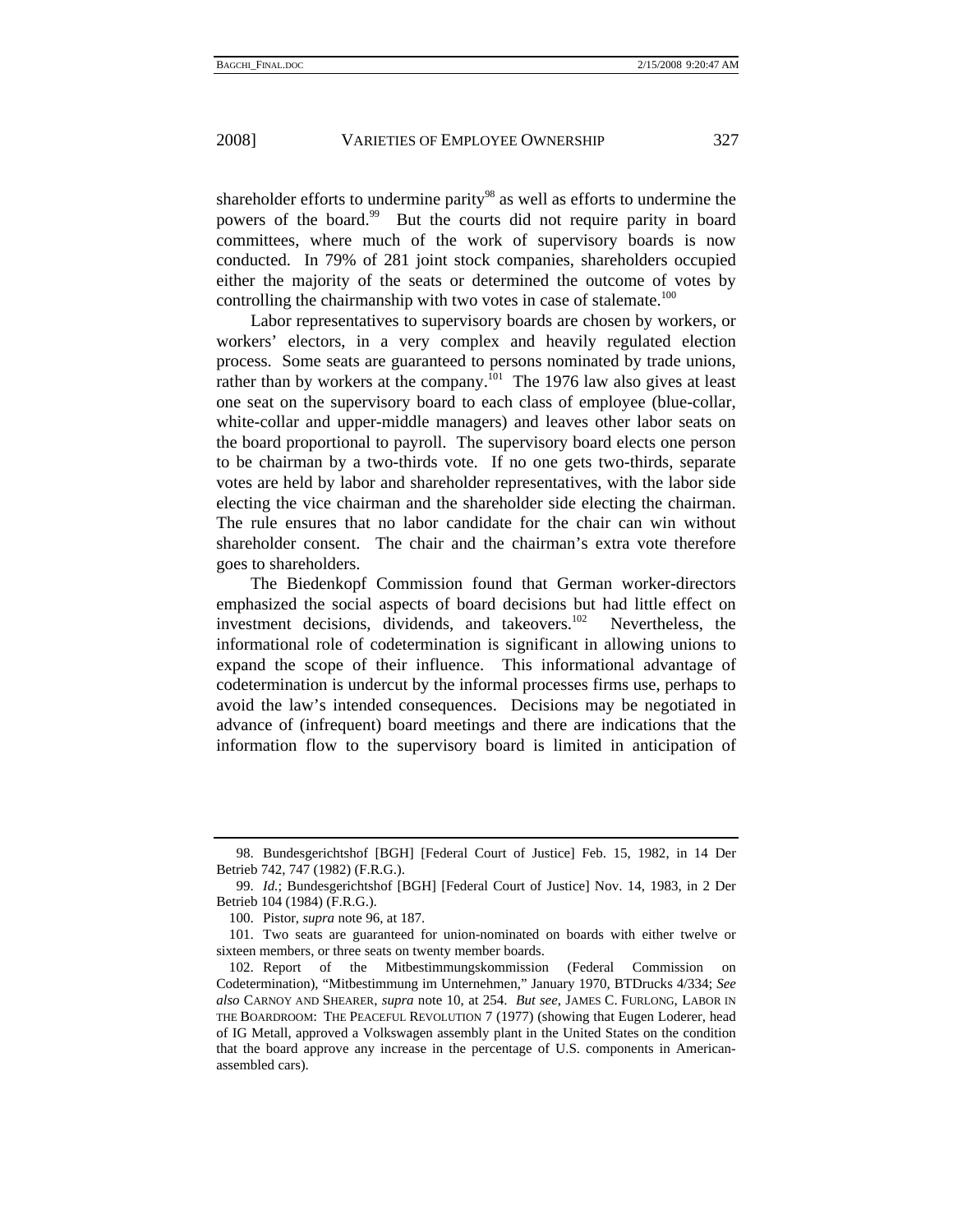shareholder efforts to undermine parity<sup>98</sup> as well as efforts to undermine the powers of the board.<sup>99</sup> But the courts did not require parity in board committees, where much of the work of supervisory boards is now conducted. In 79% of 281 joint stock companies, shareholders occupied either the majority of the seats or determined the outcome of votes by controlling the chairmanship with two votes in case of stalemate.<sup>100</sup>

Labor representatives to supervisory boards are chosen by workers, or workers' electors, in a very complex and heavily regulated election process. Some seats are guaranteed to persons nominated by trade unions, rather than by workers at the company.<sup> $[01]$ </sup> The 1976 law also gives at least one seat on the supervisory board to each class of employee (blue-collar, white-collar and upper-middle managers) and leaves other labor seats on the board proportional to payroll. The supervisory board elects one person to be chairman by a two-thirds vote. If no one gets two-thirds, separate votes are held by labor and shareholder representatives, with the labor side electing the vice chairman and the shareholder side electing the chairman. The rule ensures that no labor candidate for the chair can win without shareholder consent. The chair and the chairman's extra vote therefore goes to shareholders.

The Biedenkopf Commission found that German worker-directors emphasized the social aspects of board decisions but had little effect on investment decisions, dividends, and takeovers.<sup>102</sup> Nevertheless, the informational role of codetermination is significant in allowing unions to expand the scope of their influence. This informational advantage of codetermination is undercut by the informal processes firms use, perhaps to avoid the law's intended consequences. Decisions may be negotiated in advance of (infrequent) board meetings and there are indications that the information flow to the supervisory board is limited in anticipation of

 <sup>98.</sup> Bundesgerichtshof [BGH] [Federal Court of Justice] Feb. 15, 1982, in 14 Der Betrieb 742, 747 (1982) (F.R.G.).

 <sup>99.</sup> *Id.*; Bundesgerichtshof [BGH] [Federal Court of Justice] Nov. 14, 1983, in 2 Der Betrieb 104 (1984) (F.R.G.).

 <sup>100.</sup> Pistor, *supra* note 96, at 187.

 <sup>101.</sup> Two seats are guaranteed for union-nominated on boards with either twelve or sixteen members, or three seats on twenty member boards.

 <sup>102.</sup> Report of the Mitbestimmungskommission (Federal Commission on Codetermination), "Mitbestimmung im Unternehmen," January 1970, BTDrucks 4/334; *See also* CARNOY AND SHEARER, *supra* note 10, at 254. *But see*, JAMES C. FURLONG, LABOR IN THE BOARDROOM: THE PEACEFUL REVOLUTION 7 (1977) (showing that Eugen Loderer, head of IG Metall, approved a Volkswagen assembly plant in the United States on the condition that the board approve any increase in the percentage of U.S. components in Americanassembled cars).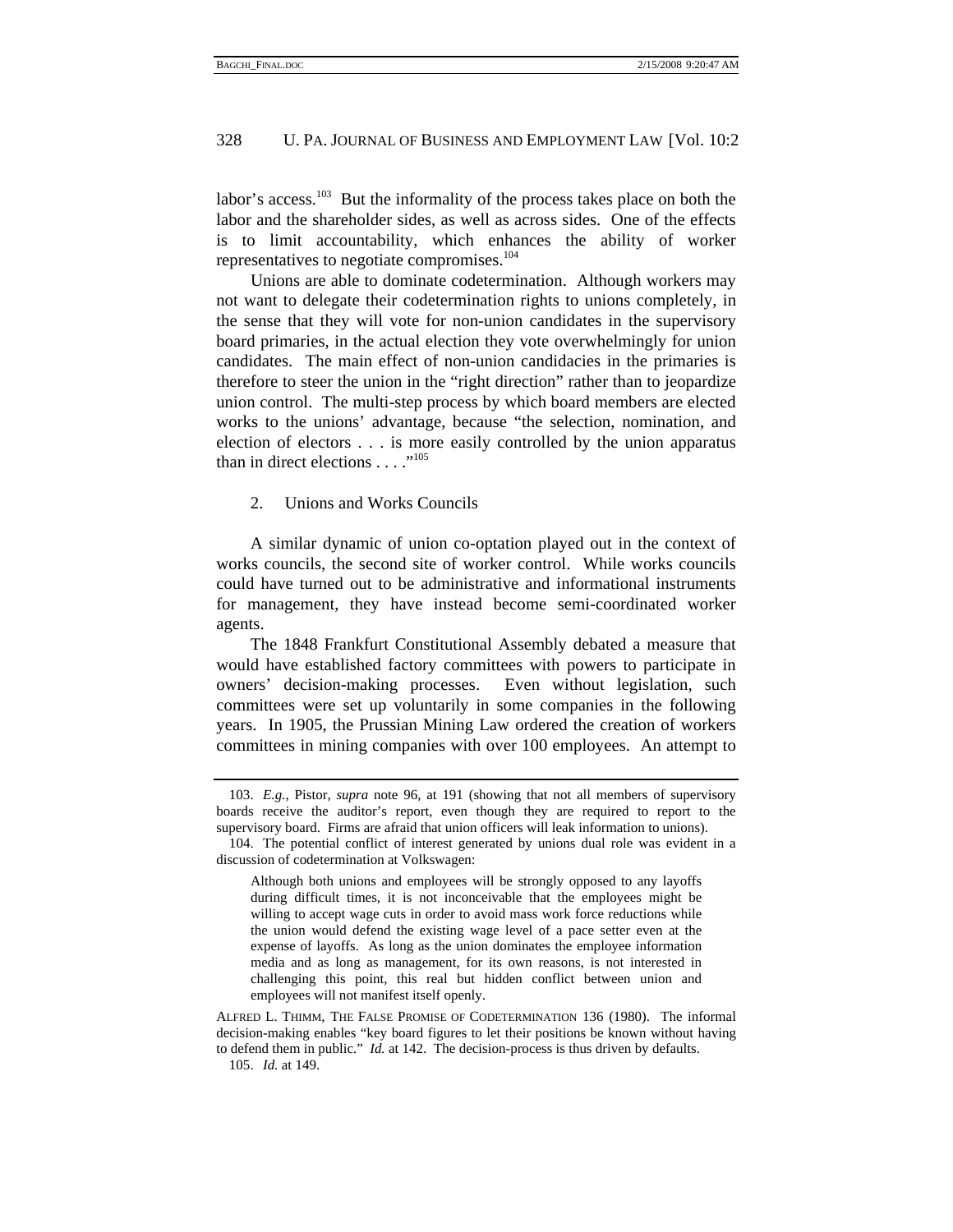labor's access.<sup>103</sup> But the informality of the process takes place on both the labor and the shareholder sides, as well as across sides. One of the effects is to limit accountability, which enhances the ability of worker representatives to negotiate compromises.<sup>104</sup>

Unions are able to dominate codetermination. Although workers may not want to delegate their codetermination rights to unions completely, in the sense that they will vote for non-union candidates in the supervisory board primaries, in the actual election they vote overwhelmingly for union candidates. The main effect of non-union candidacies in the primaries is therefore to steer the union in the "right direction" rather than to jeopardize union control. The multi-step process by which board members are elected works to the unions' advantage, because "the selection, nomination, and election of electors . . . is more easily controlled by the union apparatus than in direct elections  $\dots$ ."<sup>105</sup>

#### 2. Unions and Works Councils

A similar dynamic of union co-optation played out in the context of works councils, the second site of worker control. While works councils could have turned out to be administrative and informational instruments for management, they have instead become semi-coordinated worker agents.

The 1848 Frankfurt Constitutional Assembly debated a measure that would have established factory committees with powers to participate in owners' decision-making processes. Even without legislation, such committees were set up voluntarily in some companies in the following years. In 1905, the Prussian Mining Law ordered the creation of workers committees in mining companies with over 100 employees. An attempt to

 <sup>103.</sup> *E.g.*, Pistor, *supra* note 96, at 191 (showing that not all members of supervisory boards receive the auditor's report, even though they are required to report to the supervisory board. Firms are afraid that union officers will leak information to unions).

 <sup>104.</sup> The potential conflict of interest generated by unions dual role was evident in a discussion of codetermination at Volkswagen:

Although both unions and employees will be strongly opposed to any layoffs during difficult times, it is not inconceivable that the employees might be willing to accept wage cuts in order to avoid mass work force reductions while the union would defend the existing wage level of a pace setter even at the expense of layoffs. As long as the union dominates the employee information media and as long as management, for its own reasons, is not interested in challenging this point, this real but hidden conflict between union and employees will not manifest itself openly.

ALFRED L. THIMM, THE FALSE PROMISE OF CODETERMINATION 136 (1980). The informal decision-making enables "key board figures to let their positions be known without having to defend them in public." *Id.* at 142. The decision-process is thus driven by defaults.

 <sup>105.</sup> *Id.* at 149.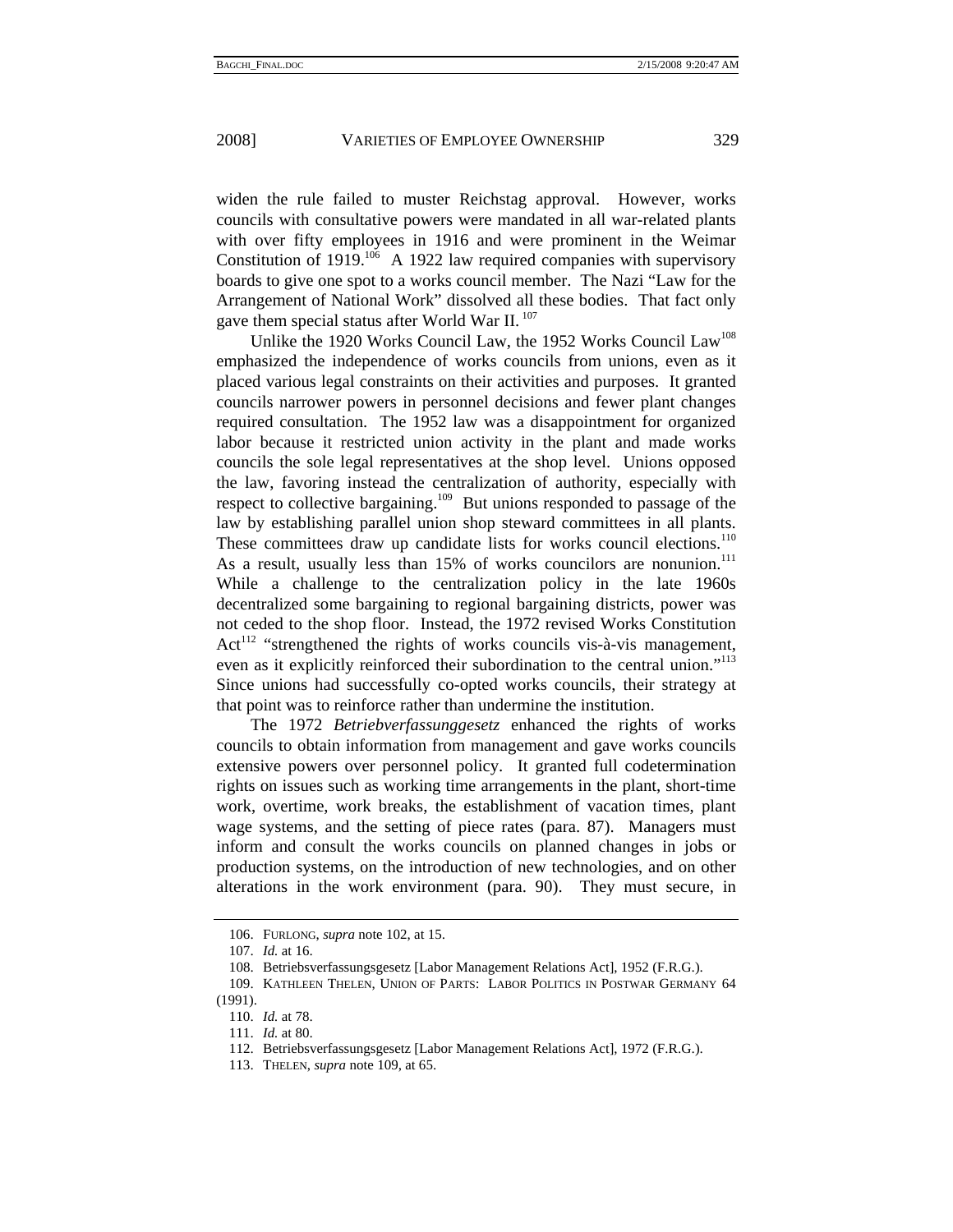widen the rule failed to muster Reichstag approval. However, works councils with consultative powers were mandated in all war-related plants with over fifty employees in 1916 and were prominent in the Weimar Constitution of 1919.<sup>106</sup> A 1922 law required companies with supervisory boards to give one spot to a works council member. The Nazi "Law for the Arrangement of National Work" dissolved all these bodies. That fact only gave them special status after World War II.<sup>107</sup>

Unlike the 1920 Works Council Law, the 1952 Works Council Law<sup>108</sup> emphasized the independence of works councils from unions, even as it placed various legal constraints on their activities and purposes. It granted councils narrower powers in personnel decisions and fewer plant changes required consultation. The 1952 law was a disappointment for organized labor because it restricted union activity in the plant and made works councils the sole legal representatives at the shop level. Unions opposed the law, favoring instead the centralization of authority, especially with respect to collective bargaining.<sup>109</sup> But unions responded to passage of the law by establishing parallel union shop steward committees in all plants. These committees draw up candidate lists for works council elections.<sup>110</sup> As a result, usually less than 15% of works councilors are nonunion.<sup>111</sup> While a challenge to the centralization policy in the late 1960s decentralized some bargaining to regional bargaining districts, power was not ceded to the shop floor. Instead, the 1972 revised Works Constitution  $Act<sup>112</sup>$  "strengthened the rights of works councils vis-à-vis management, even as it explicitly reinforced their subordination to the central union."<sup>113</sup> Since unions had successfully co-opted works councils, their strategy at that point was to reinforce rather than undermine the institution.

The 1972 *Betriebverfassunggesetz* enhanced the rights of works councils to obtain information from management and gave works councils extensive powers over personnel policy. It granted full codetermination rights on issues such as working time arrangements in the plant, short-time work, overtime, work breaks, the establishment of vacation times, plant wage systems, and the setting of piece rates (para. 87). Managers must inform and consult the works councils on planned changes in jobs or production systems, on the introduction of new technologies, and on other alterations in the work environment (para. 90). They must secure, in

 <sup>106.</sup> FURLONG, *supra* note 102, at 15.

 <sup>107.</sup> *Id.* at 16.

 <sup>108.</sup> Betriebsverfassungsgesetz [Labor Management Relations Act], 1952 (F.R.G.).

 <sup>109.</sup> KATHLEEN THELEN, UNION OF PARTS: LABOR POLITICS IN POSTWAR GERMANY 64 (1991).

 <sup>110.</sup> *Id.* at 78.

 <sup>111.</sup> *Id.* at 80.

 <sup>112.</sup> Betriebsverfassungsgesetz [Labor Management Relations Act], 1972 (F.R.G.).

 <sup>113.</sup> THELEN, *supra* note 109, at 65.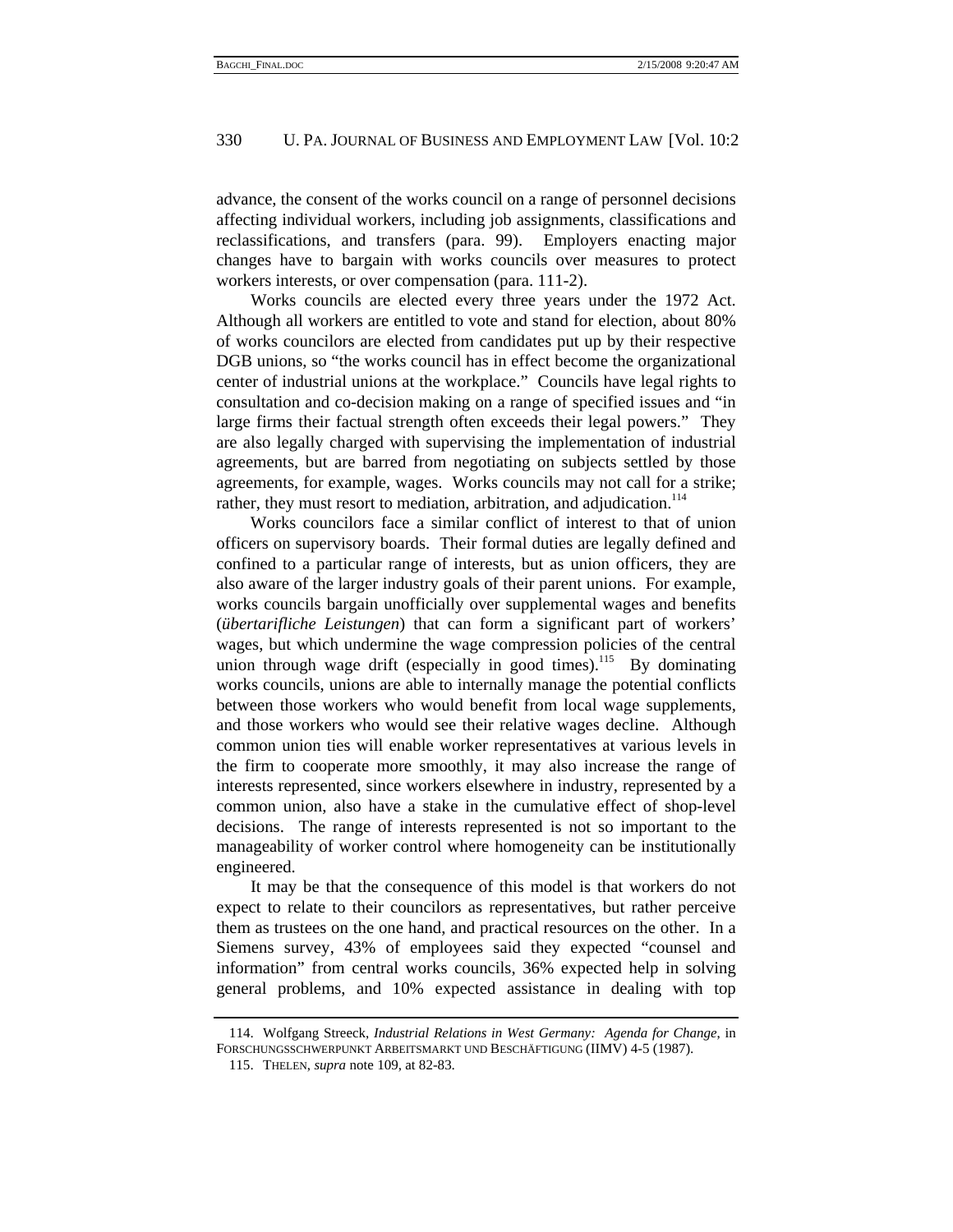advance, the consent of the works council on a range of personnel decisions affecting individual workers, including job assignments, classifications and reclassifications, and transfers (para. 99). Employers enacting major changes have to bargain with works councils over measures to protect workers interests, or over compensation (para. 111-2).

Works councils are elected every three years under the 1972 Act. Although all workers are entitled to vote and stand for election, about 80% of works councilors are elected from candidates put up by their respective DGB unions, so "the works council has in effect become the organizational center of industrial unions at the workplace." Councils have legal rights to consultation and co-decision making on a range of specified issues and "in large firms their factual strength often exceeds their legal powers." They are also legally charged with supervising the implementation of industrial agreements, but are barred from negotiating on subjects settled by those agreements, for example, wages. Works councils may not call for a strike; rather, they must resort to mediation, arbitration, and adjudication.<sup>114</sup>

Works councilors face a similar conflict of interest to that of union officers on supervisory boards. Their formal duties are legally defined and confined to a particular range of interests, but as union officers, they are also aware of the larger industry goals of their parent unions. For example, works councils bargain unofficially over supplemental wages and benefits (*übertarifliche Leistungen*) that can form a significant part of workers' wages, but which undermine the wage compression policies of the central union through wage drift (especially in good times).<sup>115</sup> By dominating works councils, unions are able to internally manage the potential conflicts between those workers who would benefit from local wage supplements, and those workers who would see their relative wages decline. Although common union ties will enable worker representatives at various levels in the firm to cooperate more smoothly, it may also increase the range of interests represented, since workers elsewhere in industry, represented by a common union, also have a stake in the cumulative effect of shop-level decisions. The range of interests represented is not so important to the manageability of worker control where homogeneity can be institutionally engineered.

It may be that the consequence of this model is that workers do not expect to relate to their councilors as representatives, but rather perceive them as trustees on the one hand, and practical resources on the other. In a Siemens survey, 43% of employees said they expected "counsel and information" from central works councils, 36% expected help in solving general problems, and 10% expected assistance in dealing with top

 <sup>114.</sup> Wolfgang Streeck, *Industrial Relations in West Germany: Agenda for Change*, in FORSCHUNGSSCHWERPUNKT ARBEITSMARKT UND BESCHÄFTIGUNG (IIMV) 4-5 (1987).

 <sup>115.</sup> THELEN, *supra* note 109, at 82-83.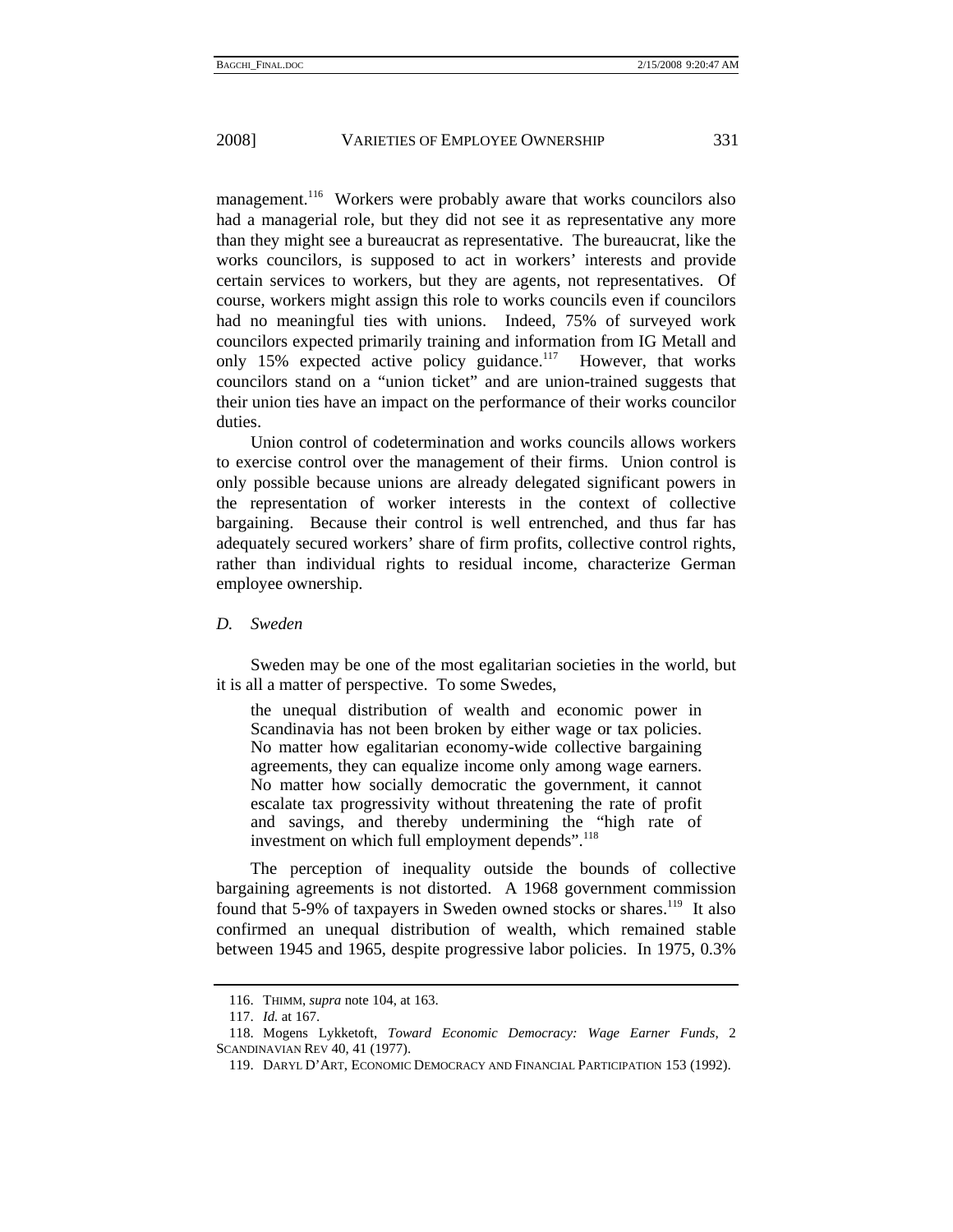management.<sup>116</sup> Workers were probably aware that works councilors also had a managerial role, but they did not see it as representative any more than they might see a bureaucrat as representative. The bureaucrat, like the works councilors, is supposed to act in workers' interests and provide certain services to workers, but they are agents, not representatives. Of course, workers might assign this role to works councils even if councilors had no meaningful ties with unions. Indeed, 75% of surveyed work councilors expected primarily training and information from IG Metall and only 15% expected active policy guidance.<sup>117</sup> However, that works councilors stand on a "union ticket" and are union-trained suggests that their union ties have an impact on the performance of their works councilor duties.

Union control of codetermination and works councils allows workers to exercise control over the management of their firms. Union control is only possible because unions are already delegated significant powers in the representation of worker interests in the context of collective bargaining. Because their control is well entrenched, and thus far has adequately secured workers' share of firm profits, collective control rights, rather than individual rights to residual income, characterize German employee ownership.

*D. Sweden* 

Sweden may be one of the most egalitarian societies in the world, but it is all a matter of perspective. To some Swedes,

the unequal distribution of wealth and economic power in Scandinavia has not been broken by either wage or tax policies. No matter how egalitarian economy-wide collective bargaining agreements, they can equalize income only among wage earners. No matter how socially democratic the government, it cannot escalate tax progressivity without threatening the rate of profit and savings, and thereby undermining the "high rate of investment on which full employment depends".<sup>118</sup>

The perception of inequality outside the bounds of collective bargaining agreements is not distorted. A 1968 government commission found that 5-9% of taxpayers in Sweden owned stocks or shares.<sup>119</sup> It also confirmed an unequal distribution of wealth, which remained stable between 1945 and 1965, despite progressive labor policies. In 1975, 0.3%

 <sup>116.</sup> THIMM, *supra* note 104, at 163.

 <sup>117.</sup> *Id.* at 167.

 <sup>118.</sup> Mogens Lykketoft, *Toward Economic Democracy: Wage Earner Funds*, 2 SCANDINAVIAN REV 40, 41 (1977).

 <sup>119.</sup> DARYL D'ART, ECONOMIC DEMOCRACY AND FINANCIAL PARTICIPATION 153 (1992).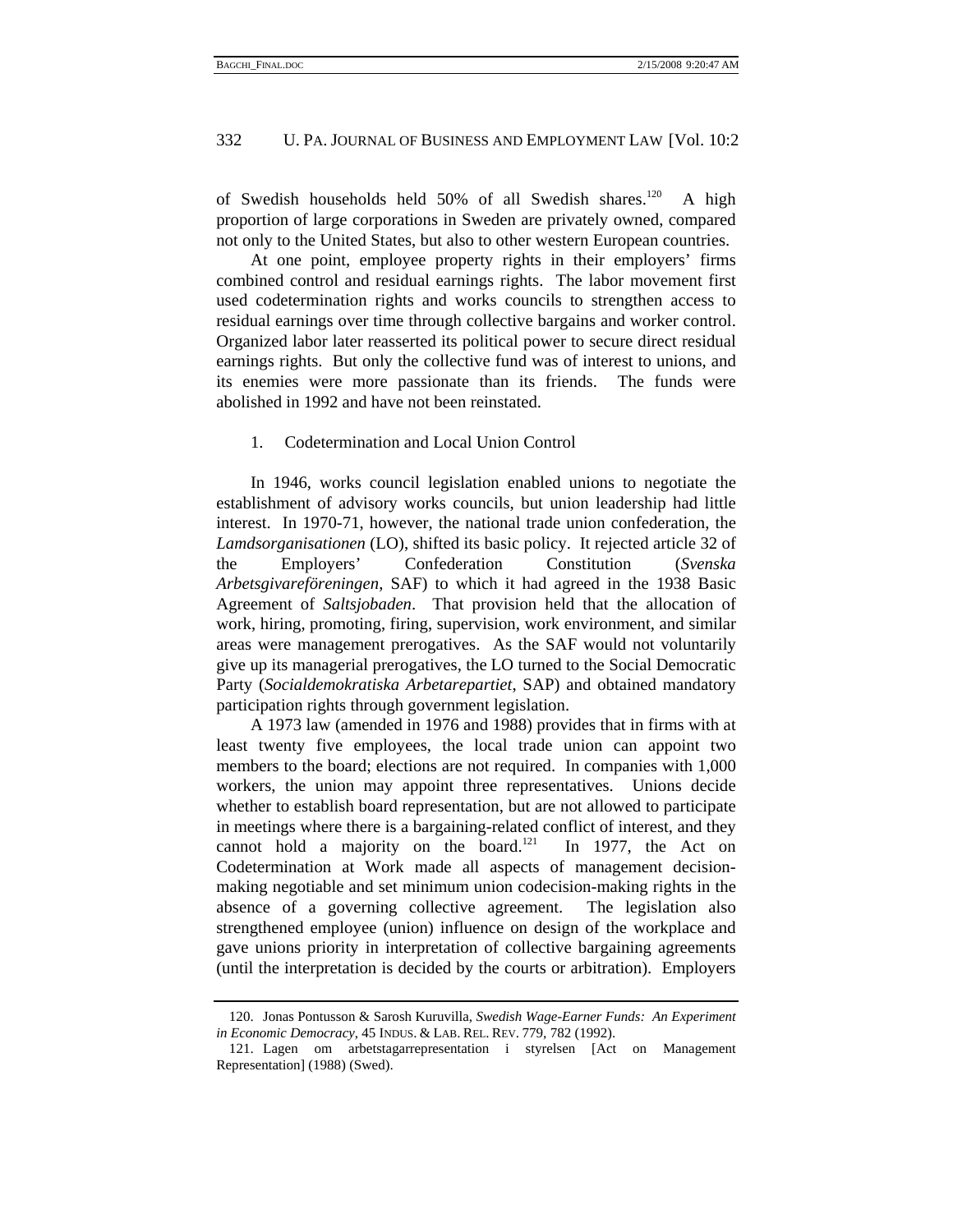of Swedish households held 50% of all Swedish shares.<sup>120</sup> A high proportion of large corporations in Sweden are privately owned, compared not only to the United States, but also to other western European countries.

At one point, employee property rights in their employers' firms combined control and residual earnings rights. The labor movement first used codetermination rights and works councils to strengthen access to residual earnings over time through collective bargains and worker control. Organized labor later reasserted its political power to secure direct residual earnings rights. But only the collective fund was of interest to unions, and its enemies were more passionate than its friends. The funds were abolished in 1992 and have not been reinstated.

#### 1. Codetermination and Local Union Control

In 1946, works council legislation enabled unions to negotiate the establishment of advisory works councils, but union leadership had little interest. In 1970-71, however, the national trade union confederation, the *Lamdsorganisationen* (LO), shifted its basic policy. It rejected article 32 of the Employers' Confederation Constitution (*Svenska Arbetsgivareföreningen*, SAF) to which it had agreed in the 1938 Basic Agreement of *Saltsjobaden*. That provision held that the allocation of work, hiring, promoting, firing, supervision, work environment, and similar areas were management prerogatives. As the SAF would not voluntarily give up its managerial prerogatives, the LO turned to the Social Democratic Party (*Socialdemokratiska Arbetarepartiet*, SAP) and obtained mandatory participation rights through government legislation.

A 1973 law (amended in 1976 and 1988) provides that in firms with at least twenty five employees, the local trade union can appoint two members to the board; elections are not required. In companies with 1,000 workers, the union may appoint three representatives. Unions decide whether to establish board representation, but are not allowed to participate in meetings where there is a bargaining-related conflict of interest, and they cannot hold a majority on the board. $121$  In 1977, the Act on Codetermination at Work made all aspects of management decisionmaking negotiable and set minimum union codecision-making rights in the absence of a governing collective agreement. The legislation also strengthened employee (union) influence on design of the workplace and gave unions priority in interpretation of collective bargaining agreements (until the interpretation is decided by the courts or arbitration). Employers

 <sup>120.</sup> Jonas Pontusson & Sarosh Kuruvilla, *Swedish Wage-Earner Funds: An Experiment in Economic Democracy*, 45 INDUS. & LAB. REL. REV. 779, 782 (1992).

 <sup>121.</sup> Lagen om arbetstagarrepresentation i styrelsen [Act on Management Representation] (1988) (Swed).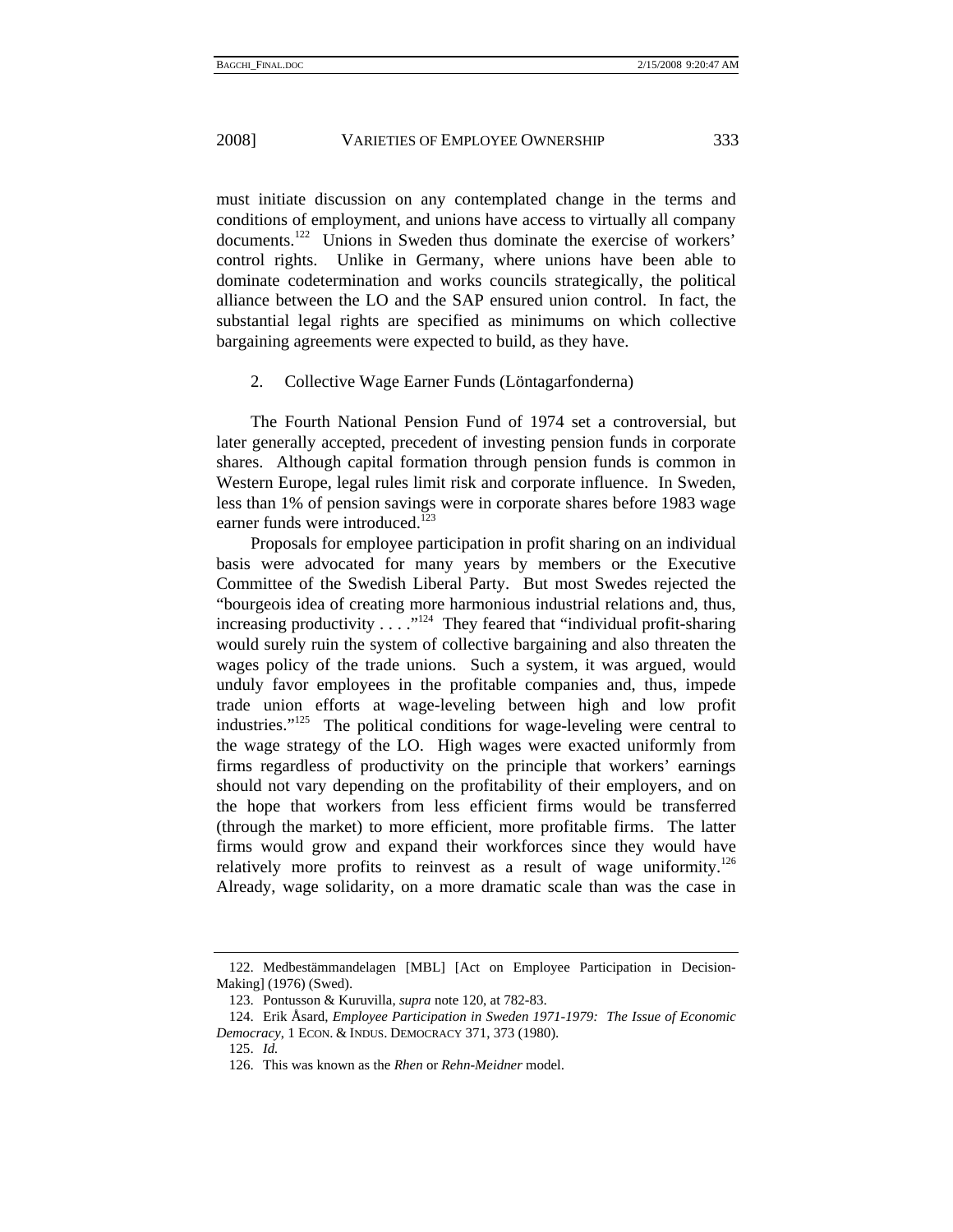must initiate discussion on any contemplated change in the terms and conditions of employment, and unions have access to virtually all company documents.<sup>122</sup> Unions in Sweden thus dominate the exercise of workers' control rights. Unlike in Germany, where unions have been able to dominate codetermination and works councils strategically, the political alliance between the LO and the SAP ensured union control. In fact, the substantial legal rights are specified as minimums on which collective bargaining agreements were expected to build, as they have.

#### 2. Collective Wage Earner Funds (Löntagarfonderna)

The Fourth National Pension Fund of 1974 set a controversial, but later generally accepted, precedent of investing pension funds in corporate shares. Although capital formation through pension funds is common in Western Europe, legal rules limit risk and corporate influence. In Sweden, less than 1% of pension savings were in corporate shares before 1983 wage earner funds were introduced.<sup>123</sup>

Proposals for employee participation in profit sharing on an individual basis were advocated for many years by members or the Executive Committee of the Swedish Liberal Party. But most Swedes rejected the "bourgeois idea of creating more harmonious industrial relations and, thus, increasing productivity  $\dots$  ."<sup>124</sup> They feared that "individual profit-sharing would surely ruin the system of collective bargaining and also threaten the wages policy of the trade unions. Such a system, it was argued, would unduly favor employees in the profitable companies and, thus, impede trade union efforts at wage-leveling between high and low profit industries." $125$  The political conditions for wage-leveling were central to the wage strategy of the LO. High wages were exacted uniformly from firms regardless of productivity on the principle that workers' earnings should not vary depending on the profitability of their employers, and on the hope that workers from less efficient firms would be transferred (through the market) to more efficient, more profitable firms. The latter firms would grow and expand their workforces since they would have relatively more profits to reinvest as a result of wage uniformity.<sup>126</sup> Already, wage solidarity, on a more dramatic scale than was the case in

 <sup>122.</sup> Medbestämmandelagen [MBL] [Act on Employee Participation in Decision-Making] (1976) (Swed).

 <sup>123.</sup> Pontusson & Kuruvilla, *supra* note 120, at 782-83.

 <sup>124.</sup> Erik Åsard, *Employee Participation in Sweden 1971-1979: The Issue of Economic Democracy*, 1 ECON. & INDUS. DEMOCRACY 371, 373 (1980).

 <sup>125.</sup> *Id.*

 <sup>126.</sup> This was known as the *Rhen* or *Rehn-Meidner* model.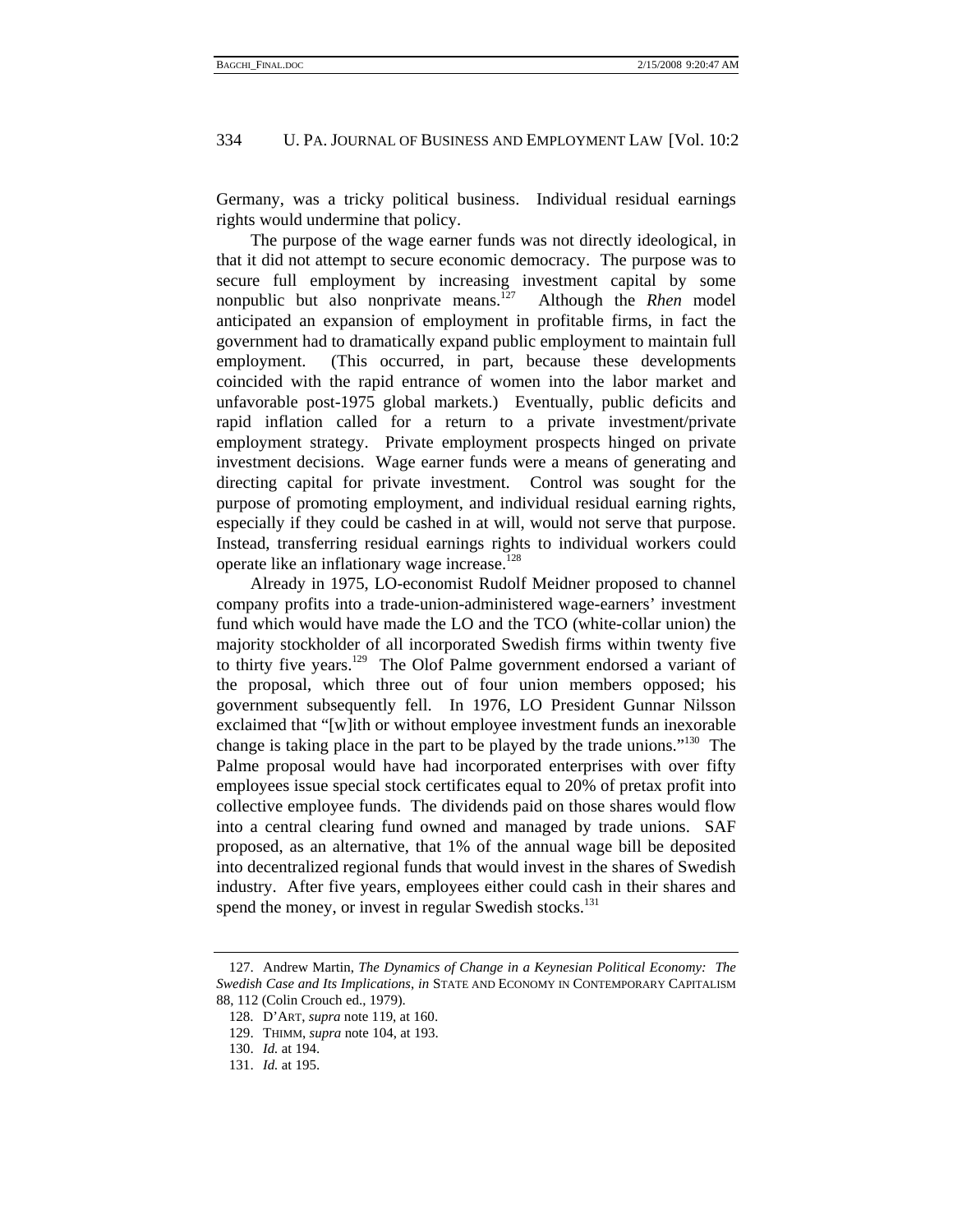Germany, was a tricky political business. Individual residual earnings rights would undermine that policy.

The purpose of the wage earner funds was not directly ideological, in that it did not attempt to secure economic democracy. The purpose was to secure full employment by increasing investment capital by some nonpublic but also nonprivate means.127 Although the *Rhen* model anticipated an expansion of employment in profitable firms, in fact the government had to dramatically expand public employment to maintain full employment. (This occurred, in part, because these developments coincided with the rapid entrance of women into the labor market and unfavorable post-1975 global markets.) Eventually, public deficits and rapid inflation called for a return to a private investment/private employment strategy. Private employment prospects hinged on private investment decisions. Wage earner funds were a means of generating and directing capital for private investment. Control was sought for the purpose of promoting employment, and individual residual earning rights, especially if they could be cashed in at will, would not serve that purpose. Instead, transferring residual earnings rights to individual workers could operate like an inflationary wage increase.<sup>128</sup>

Already in 1975, LO-economist Rudolf Meidner proposed to channel company profits into a trade-union-administered wage-earners' investment fund which would have made the LO and the TCO (white-collar union) the majority stockholder of all incorporated Swedish firms within twenty five to thirty five years.<sup>129</sup> The Olof Palme government endorsed a variant of the proposal, which three out of four union members opposed; his government subsequently fell. In 1976, LO President Gunnar Nilsson exclaimed that "[w]ith or without employee investment funds an inexorable change is taking place in the part to be played by the trade unions."<sup>130</sup> The Palme proposal would have had incorporated enterprises with over fifty employees issue special stock certificates equal to 20% of pretax profit into collective employee funds. The dividends paid on those shares would flow into a central clearing fund owned and managed by trade unions. SAF proposed, as an alternative, that 1% of the annual wage bill be deposited into decentralized regional funds that would invest in the shares of Swedish industry. After five years, employees either could cash in their shares and spend the money, or invest in regular Swedish stocks.<sup>131</sup>

 <sup>127.</sup> Andrew Martin, *The Dynamics of Change in a Keynesian Political Economy: The Swedish Case and Its Implications*, *in* STATE AND ECONOMY IN CONTEMPORARY CAPITALISM 88, 112 (Colin Crouch ed., 1979).

 <sup>128.</sup> D'ART, *supra* note 119, at 160.

 <sup>129.</sup> THIMM, *supra* note 104, at 193.

 <sup>130.</sup> *Id.* at 194.

 <sup>131.</sup> *Id.* at 195.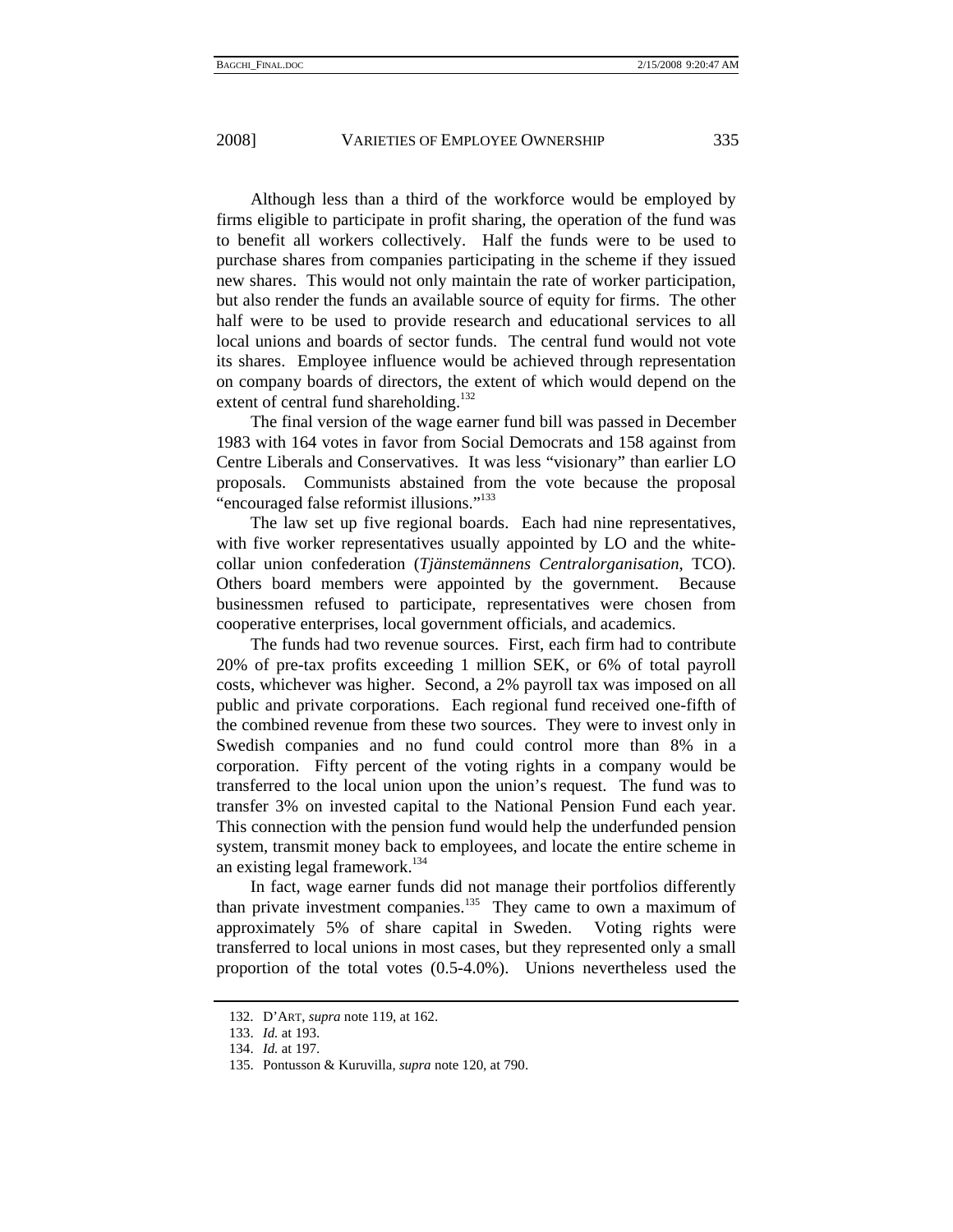Although less than a third of the workforce would be employed by firms eligible to participate in profit sharing, the operation of the fund was to benefit all workers collectively. Half the funds were to be used to purchase shares from companies participating in the scheme if they issued new shares. This would not only maintain the rate of worker participation, but also render the funds an available source of equity for firms. The other half were to be used to provide research and educational services to all local unions and boards of sector funds. The central fund would not vote its shares. Employee influence would be achieved through representation on company boards of directors, the extent of which would depend on the extent of central fund shareholding.<sup>132</sup>

The final version of the wage earner fund bill was passed in December 1983 with 164 votes in favor from Social Democrats and 158 against from Centre Liberals and Conservatives. It was less "visionary" than earlier LO proposals. Communists abstained from the vote because the proposal "encouraged false reformist illusions."<sup>133</sup>

The law set up five regional boards. Each had nine representatives, with five worker representatives usually appointed by LO and the whitecollar union confederation (*Tjänstemännens Centralorganisation*, TCO). Others board members were appointed by the government. Because businessmen refused to participate, representatives were chosen from cooperative enterprises, local government officials, and academics.

The funds had two revenue sources. First, each firm had to contribute 20% of pre-tax profits exceeding 1 million SEK, or 6% of total payroll costs, whichever was higher. Second, a 2% payroll tax was imposed on all public and private corporations. Each regional fund received one-fifth of the combined revenue from these two sources. They were to invest only in Swedish companies and no fund could control more than 8% in a corporation. Fifty percent of the voting rights in a company would be transferred to the local union upon the union's request. The fund was to transfer 3% on invested capital to the National Pension Fund each year. This connection with the pension fund would help the underfunded pension system, transmit money back to employees, and locate the entire scheme in an existing legal framework.<sup>134</sup>

In fact, wage earner funds did not manage their portfolios differently than private investment companies.<sup>135</sup> They came to own a maximum of approximately 5% of share capital in Sweden. Voting rights were transferred to local unions in most cases, but they represented only a small proportion of the total votes (0.5-4.0%). Unions nevertheless used the

 <sup>132.</sup> D'ART, *supra* note 119, at 162.

 <sup>133.</sup> *Id.* at 193.

 <sup>134.</sup> *Id.* at 197.

 <sup>135.</sup> Pontusson & Kuruvilla, *supra* note 120, at 790.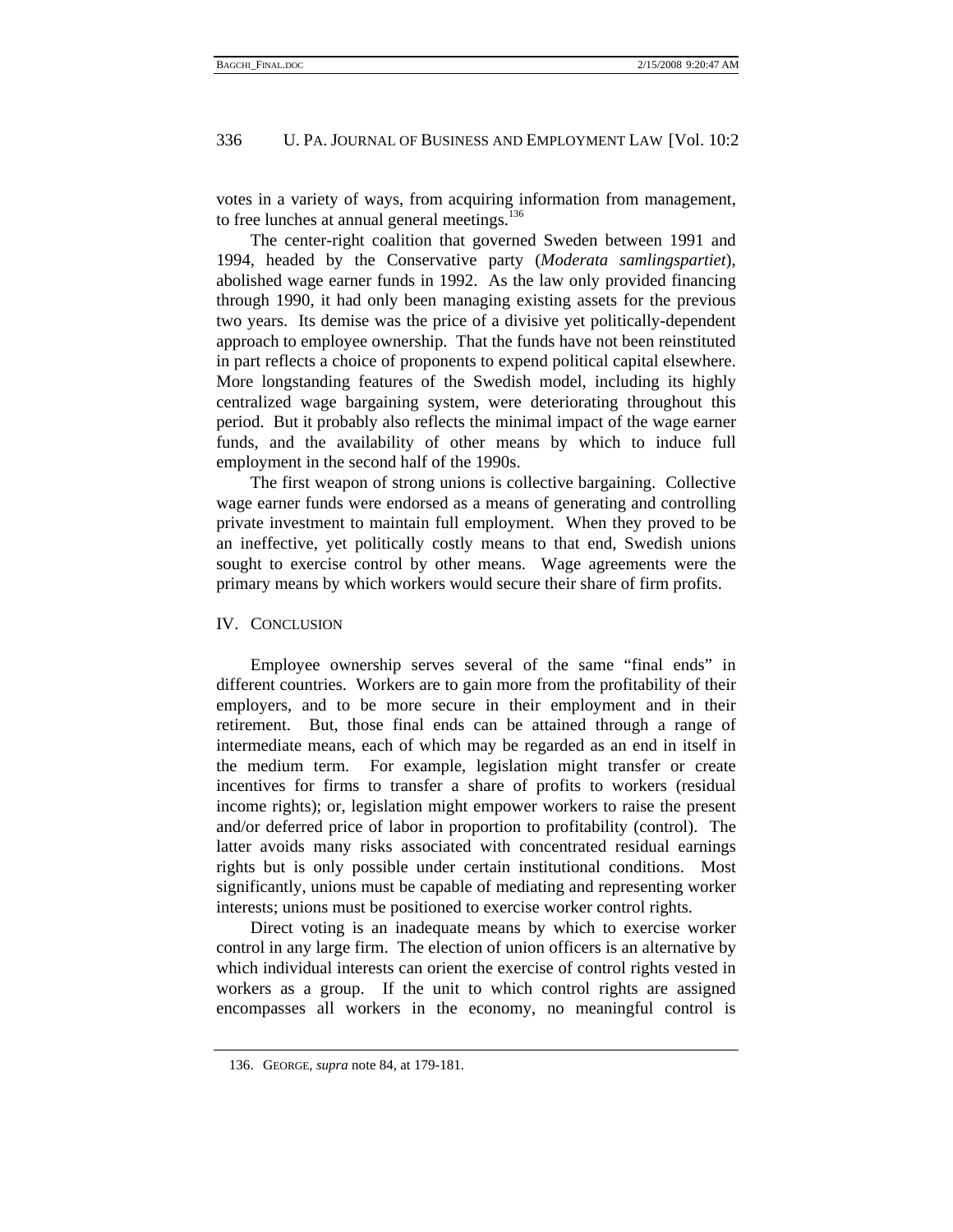votes in a variety of ways, from acquiring information from management, to free lunches at annual general meetings. $136$ 

The center-right coalition that governed Sweden between 1991 and 1994, headed by the Conservative party (*Moderata samlingspartiet*), abolished wage earner funds in 1992. As the law only provided financing through 1990, it had only been managing existing assets for the previous two years. Its demise was the price of a divisive yet politically-dependent approach to employee ownership. That the funds have not been reinstituted in part reflects a choice of proponents to expend political capital elsewhere. More longstanding features of the Swedish model, including its highly centralized wage bargaining system, were deteriorating throughout this period. But it probably also reflects the minimal impact of the wage earner funds, and the availability of other means by which to induce full employment in the second half of the 1990s.

The first weapon of strong unions is collective bargaining. Collective wage earner funds were endorsed as a means of generating and controlling private investment to maintain full employment. When they proved to be an ineffective, yet politically costly means to that end, Swedish unions sought to exercise control by other means. Wage agreements were the primary means by which workers would secure their share of firm profits.

#### IV. CONCLUSION

Employee ownership serves several of the same "final ends" in different countries. Workers are to gain more from the profitability of their employers, and to be more secure in their employment and in their retirement. But, those final ends can be attained through a range of intermediate means, each of which may be regarded as an end in itself in the medium term. For example, legislation might transfer or create incentives for firms to transfer a share of profits to workers (residual income rights); or, legislation might empower workers to raise the present and/or deferred price of labor in proportion to profitability (control). The latter avoids many risks associated with concentrated residual earnings rights but is only possible under certain institutional conditions. Most significantly, unions must be capable of mediating and representing worker interests; unions must be positioned to exercise worker control rights.

Direct voting is an inadequate means by which to exercise worker control in any large firm. The election of union officers is an alternative by which individual interests can orient the exercise of control rights vested in workers as a group. If the unit to which control rights are assigned encompasses all workers in the economy, no meaningful control is

 <sup>136.</sup> GEORGE, *supra* note 84, at 179-181.